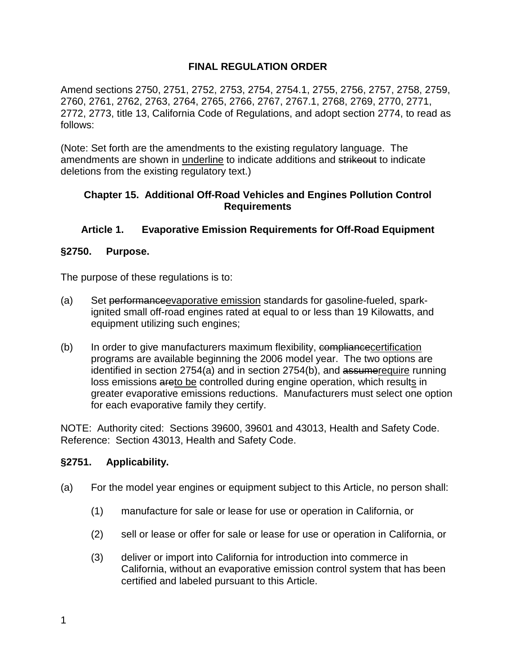### **FINAL REGULATION ORDER**

Amend sections 2750, 2751, 2752, 2753, 2754, 2754.1, 2755, 2756, 2757, 2758, 2759, 2760, 2761, 2762, 2763, 2764, 2765, 2766, 2767, 2767.1, 2768, 2769, 2770, 2771, 2772, 2773, title 13, California Code of Regulations, and adopt section 2774, to read as follows:

(Note: Set forth are the amendments to the existing regulatory language. The amendments are shown in underline to indicate additions and strikeout to indicate deletions from the existing regulatory text.)

#### **Chapter 15. Additional Off-Road Vehicles and Engines Pollution Control Requirements**

#### **Article 1. Evaporative Emission Requirements for Off-Road Equipment**

#### **§2750. Purpose.**

The purpose of these regulations is to:

- (a) Set performanceevaporative emission standards for gasoline-fueled, sparkignited small off-road engines rated at equal to or less than 19 Kilowatts, and equipment utilizing such engines;
- (b) In order to give manufacturers maximum flexibility, compliance certification programs are available beginning the 2006 model year. The two options are identified in section 2754(a) and in section 2754(b), and assumerequire running loss emissions areto be controlled during engine operation, which results in greater evaporative emissions reductions. Manufacturers must select one option for each evaporative family they certify.

NOTE: Authority cited: Sections 39600, 39601 and 43013, Health and Safety Code. Reference: Section 43013, Health and Safety Code.

#### **§2751. Applicability.**

- (a) For the model year engines or equipment subject to this Article, no person shall:
	- (1) manufacture for sale or lease for use or operation in California, or
	- (2) sell or lease or offer for sale or lease for use or operation in California, or
	- (3) deliver or import into California for introduction into commerce in California, without an evaporative emission control system that has been certified and labeled pursuant to this Article.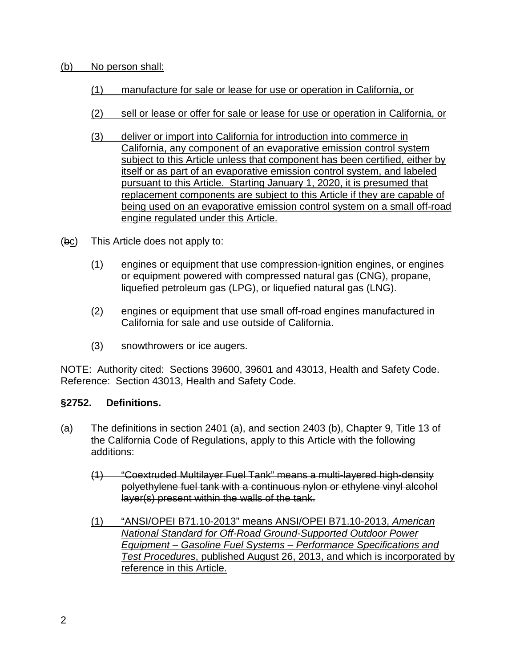#### (b) No person shall:

- (1) manufacture for sale or lease for use or operation in California, or
- (2) sell or lease or offer for sale or lease for use or operation in California, or
- (3) deliver or import into California for introduction into commerce in California, any component of an evaporative emission control system subject to this Article unless that component has been certified, either by itself or as part of an evaporative emission control system, and labeled pursuant to this Article. Starting January 1, 2020, it is presumed that replacement components are subject to this Article if they are capable of being used on an evaporative emission control system on a small off-road engine regulated under this Article.
- (bc) This Article does not apply to:
	- (1) engines or equipment that use compression-ignition engines, or engines or equipment powered with compressed natural gas (CNG), propane, liquefied petroleum gas (LPG), or liquefied natural gas (LNG).
	- (2) engines or equipment that use small off-road engines manufactured in California for sale and use outside of California.
	- (3) snowthrowers or ice augers.

NOTE: Authority cited: Sections 39600, 39601 and 43013, Health and Safety Code. Reference: Section 43013, Health and Safety Code.

### **§2752. Definitions.**

- (a) The definitions in section 2401 (a), and section 2403 (b), Chapter 9, Title 13 of the California Code of Regulations, apply to this Article with the following additions:
	- (1) "Coextruded Multilayer Fuel Tank" means a multi-layered high-density polyethylene fuel tank with a continuous nylon or ethylene vinyl alcohol layer(s) present within the walls of the tank.
	- (1) "ANSI/OPEI B71.10-2013" means ANSI/OPEI B71.10-2013, *American National Standard for Off-Road Ground-Supported Outdoor Power Equipment – Gasoline Fuel Systems – Performance Specifications and Test Procedures*, published August 26, 2013, and which is incorporated by reference in this Article.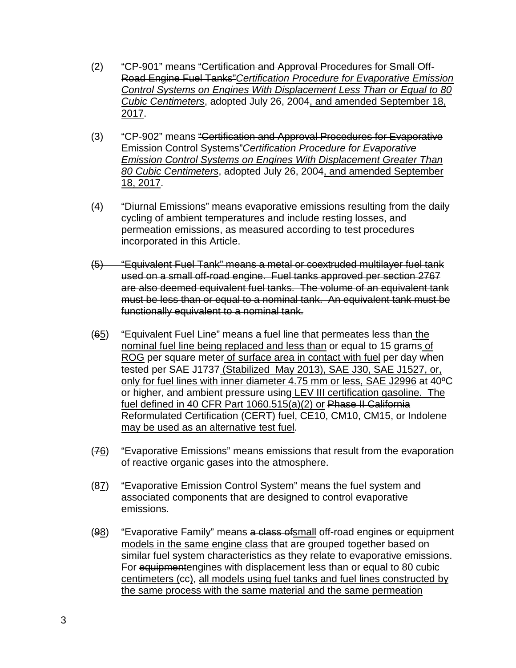- (2) "CP-901" means "Certification and Approval Procedures for Small Off-Road Engine Fuel Tanks"*Certification Procedure for Evaporative Emission Control Systems on Engines With Displacement Less Than or Equal to 80 Cubic Centimeters*, adopted July 26, 2004, and amended September 18, 2017.
- (3) "CP-902" means "Certification and Approval Procedures for Evaporative Emission Control Systems"*Certification Procedure for Evaporative Emission Control Systems on Engines With Displacement Greater Than 80 Cubic Centimeters*, adopted July 26, 2004, and amended September 18, 2017.
- (4) "Diurnal Emissions" means evaporative emissions resulting from the daily cycling of ambient temperatures and include resting losses, and permeation emissions, as measured according to test procedures incorporated in this Article.
- (5) "Equivalent Fuel Tank" means a metal or coextruded multilayer fuel tank used on a small off-road engine. Fuel tanks approved per section 2767 are also deemed equivalent fuel tanks. The volume of an equivalent tank must be less than or equal to a nominal tank. An equivalent tank must be functionally equivalent to a nominal tank.
- (65) "Equivalent Fuel Line" means a fuel line that permeates less than the nominal fuel line being replaced and less than or equal to 15 grams of ROG per square meter of surface area in contact with fuel per day when tested per SAE J1737 (Stabilized May 2013), SAE J30, SAE J1527, or, only for fuel lines with inner diameter 4.75 mm or less, SAE J2996 at 40ºC or higher, and ambient pressure using LEV III certification gasoline. The fuel defined in 40 CFR Part 1060.515(a)(2) or Phase II California Reformulated Certification (CERT) fuel, CE10, CM10, CM15, or Indolene may be used as an alternative test fuel.
- (76) "Evaporative Emissions" means emissions that result from the evaporation of reactive organic gases into the atmosphere.
- (87) "Evaporative Emission Control System" means the fuel system and associated components that are designed to control evaporative emissions.
- (98) "Evaporative Family" means a class of small off-road engines or equipment models in the same engine class that are grouped together based on similar fuel system characteristics as they relate to evaporative emissions. For equipmentengines with displacement less than or equal to 80 cubic centimeters (cc), all models using fuel tanks and fuel lines constructed by the same process with the same material and the same permeation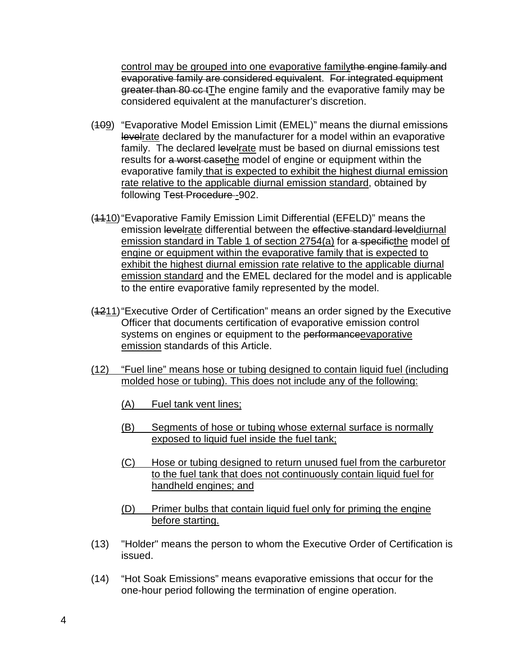control may be grouped into one evaporative familythe engine family and evaporative family are considered equivalent. For integrated equipment greater than 80 cc tThe engine family and the evaporative family may be considered equivalent at the manufacturer's discretion.

- (409) "Evaporative Model Emission Limit (EMEL)" means the diurnal emissions levelrate declared by the manufacturer for a model within an evaporative family. The declared levelrate must be based on diurnal emissions test results for a worst casethe model of engine or equipment within the evaporative family that is expected to exhibit the highest diurnal emission rate relative to the applicable diurnal emission standard, obtained by following Test-Procedure-902.
- (4410) "Evaporative Family Emission Limit Differential (EFELD)" means the emission levelrate differential between the effective standard leveldiurnal emission standard in Table 1 of section 2754(a) for a specificthe model of engine or equipment within the evaporative family that is expected to exhibit the highest diurnal emission rate relative to the applicable diurnal emission standard and the EMEL declared for the model and is applicable to the entire evaporative family represented by the model.
- (1211)"Executive Order of Certification" means an order signed by the Executive Officer that documents certification of evaporative emission control systems on engines or equipment to the performance evaporative emission standards of this Article.
- (12) "Fuel line" means hose or tubing designed to contain liquid fuel (including molded hose or tubing). This does not include any of the following:
	- (A) Fuel tank vent lines;
	- (B) Segments of hose or tubing whose external surface is normally exposed to liquid fuel inside the fuel tank;
	- (C) Hose or tubing designed to return unused fuel from the carburetor to the fuel tank that does not continuously contain liquid fuel for handheld engines; and
	- (D) Primer bulbs that contain liquid fuel only for priming the engine before starting.
- (13) "Holder" means the person to whom the Executive Order of Certification is issued.
- (14) "Hot Soak Emissions" means evaporative emissions that occur for the one-hour period following the termination of engine operation.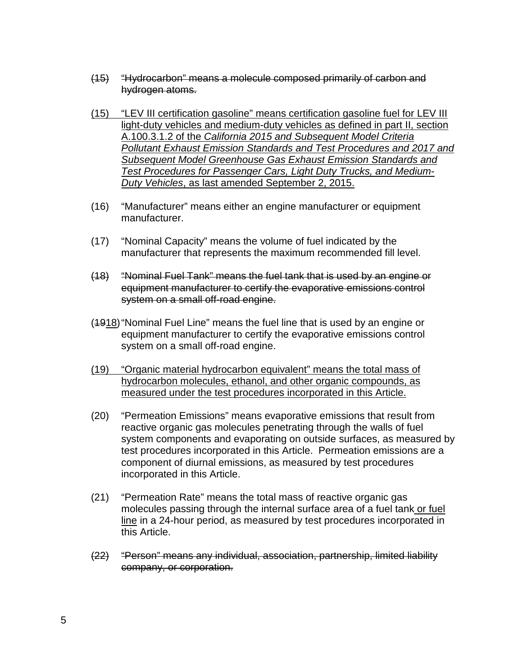- (15) "Hydrocarbon" means a molecule composed primarily of carbon and hydrogen atoms.
- (15) "LEV III certification gasoline" means certification gasoline fuel for LEV III light-duty vehicles and medium-duty vehicles as defined in part II, section A.100.3.1.2 of the *California 2015 and Subsequent Model Criteria Pollutant Exhaust Emission Standards and Test Procedures and 2017 and Subsequent Model Greenhouse Gas Exhaust Emission Standards and Test Procedures for Passenger Cars, Light Duty Trucks, and Medium-Duty Vehicles*, as last amended September 2, 2015.
- (16) "Manufacturer" means either an engine manufacturer or equipment manufacturer.
- (17) "Nominal Capacity" means the volume of fuel indicated by the manufacturer that represents the maximum recommended fill level.
- (18) "Nominal Fuel Tank" means the fuel tank that is used by an engine or equipment manufacturer to certify the evaporative emissions control system on a small off-road engine.
- (1918)"Nominal Fuel Line" means the fuel line that is used by an engine or equipment manufacturer to certify the evaporative emissions control system on a small off-road engine.
- (19) "Organic material hydrocarbon equivalent" means the total mass of hydrocarbon molecules, ethanol, and other organic compounds, as measured under the test procedures incorporated in this Article.
- (20) "Permeation Emissions" means evaporative emissions that result from reactive organic gas molecules penetrating through the walls of fuel system components and evaporating on outside surfaces, as measured by test procedures incorporated in this Article. Permeation emissions are a component of diurnal emissions, as measured by test procedures incorporated in this Article.
- (21) "Permeation Rate" means the total mass of reactive organic gas molecules passing through the internal surface area of a fuel tank or fuel line in a 24-hour period, as measured by test procedures incorporated in this Article.
- (22) "Person" means any individual, association, partnership, limited liability company, or corporation.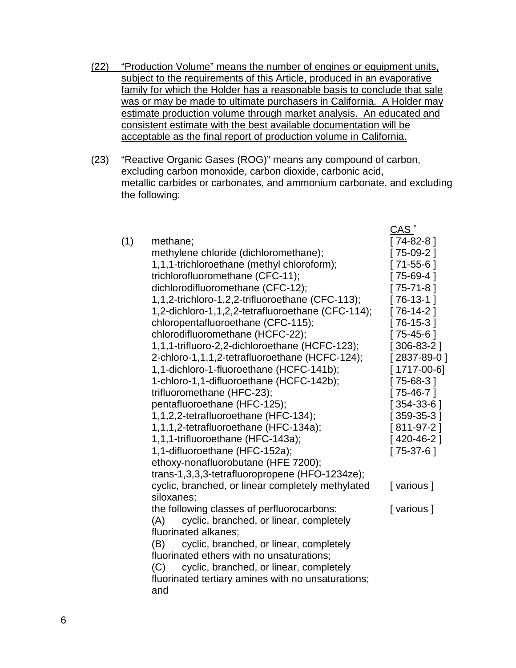- (22) "Production Volume" means the number of engines or equipment units, subject to the requirements of this Article, produced in an evaporative family for which the Holder has a reasonable basis to conclude that sale was or may be made to ultimate purchasers in California. A Holder may estimate production volume through market analysis. An educated and consistent estimate with the best available documentation will be acceptable as the final report of production volume in California.
- (23) "Reactive Organic Gases (ROG)" means any compound of carbon, excluding carbon monoxide, carbon dioxide, carbonic acid, metallic carbides or carbonates, and ammonium carbonate, and excluding the following:

|     |                                                           | $CAS -$      |
|-----|-----------------------------------------------------------|--------------|
| (1) | methane;                                                  | 74-82-8 ]    |
|     | methylene chloride (dichloromethane);                     | [75-09-2]    |
|     | 1,1,1-trichloroethane (methyl chloroform);                | [71-55-6]    |
|     | trichlorofluoromethane (CFC-11);                          | 75-69-4      |
|     | dichlorodifluoromethane (CFC-12);                         | 75-71-8]     |
|     | 1,1,2-trichloro-1,2,2-trifluoroethane (CFC-113);          | $[76-13-1]$  |
|     | 1,2-dichloro-1,1,2,2-tetrafluoroethane (CFC-114);         | $[76-14-2]$  |
|     | chloropentafluoroethane (CFC-115);                        | 76-15-31     |
|     | chlorodifluoromethane (HCFC-22);                          | $[75-45-6]$  |
|     | 1,1,1-trifluoro-2,2-dichloroethane (HCFC-123);            | $[306-83-2]$ |
|     | 2-chloro-1,1,1,2-tetrafluoroethane (HCFC-124);            | [2837-89-0]  |
|     | 1,1-dichloro-1-fluoroethane (HCFC-141b);                  | 1717-00-6]   |
|     | 1-chloro-1,1-difluoroethane (HCFC-142b);                  | $[75-68-3]$  |
|     | trifluoromethane (HFC-23);                                | $[75-46-7]$  |
|     | pentafluoroethane (HFC-125);                              | $[354-33-6]$ |
|     | 1,1,2,2-tetrafluoroethane (HFC-134);                      | $[359-35-3]$ |
|     | 1,1,1,2-tetrafluoroethane (HFC-134a);                     | $[811-97-2]$ |
|     | 1,1,1-trifluoroethane (HFC-143a);                         | $[420-46-2]$ |
|     | 1,1-difluoroethane (HFC-152a);                            | $[75-37-6]$  |
|     | ethoxy-nonafluorobutane (HFE 7200);                       |              |
|     | trans-1,3,3,3-tetrafluoropropene (HFO-1234ze);            |              |
|     | cyclic, branched, or linear completely methylated         | [various]    |
|     | siloxanes;                                                |              |
|     | the following classes of perfluorocarbons:                | [various]    |
|     | cyclic, branched, or linear, completely<br>(A)            |              |
|     | fluorinated alkanes;                                      |              |
|     | cyclic, branched, or linear, completely<br>(B)            |              |
|     | fluorinated ethers with no unsaturations;                 |              |
|     | cyclic, branched, or linear, completely<br>(C)            |              |
|     | fluorinated tertiary amines with no unsaturations;<br>and |              |
|     |                                                           |              |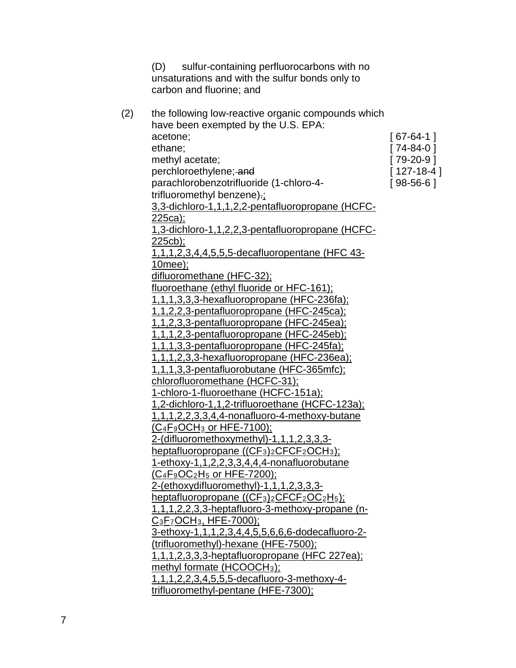(D) sulfur-containing perfluorocarbons with no unsaturations and with the sulfur bonds only to carbon and fluorine; and

| (2) | the following low-reactive organic compounds which                                                      |              |
|-----|---------------------------------------------------------------------------------------------------------|--------------|
|     | have been exempted by the U.S. EPA:                                                                     |              |
|     | acetone;                                                                                                | $[67-64-1]$  |
|     | ethane;                                                                                                 | $[74-84-0]$  |
|     | methyl acetate;                                                                                         | $[79-20-9]$  |
|     | perchloroethylene; and                                                                                  | $[127-18-4]$ |
|     | parachlorobenzotrifluoride (1-chloro-4-                                                                 | $[98-56-6]$  |
|     | trifluoromethyl benzene).;                                                                              |              |
|     | 3,3-dichloro-1,1,1,2,2-pentafluoropropane (HCFC-                                                        |              |
|     | <u>225ca);</u>                                                                                          |              |
|     | 1,3-dichloro-1,1,2,2,3-pentafluoropropane (HCFC-                                                        |              |
|     | $225cb$ ;                                                                                               |              |
|     | <u>1,1,1,2,3,4,4,5,5,5-decafluoropentane (HFC 43-</u>                                                   |              |
|     | <u>10mee);</u>                                                                                          |              |
|     | difluoromethane (HFC-32);                                                                               |              |
|     | fluoroethane (ethyl fluoride or HFC-161);                                                               |              |
|     | 1,1,1,3,3,3-hexafluoropropane (HFC-236fa);                                                              |              |
|     | 1,1,2,2,3-pentafluoropropane (HFC-245ca);                                                               |              |
|     | <u>1,1,2,3,3-pentafluoropropane (HFC-245ea);</u>                                                        |              |
|     | 1,1,1,2,3-pentafluoropropane (HFC-245eb);                                                               |              |
|     | 1,1,1,3,3-pentafluoropropane (HFC-245fa);                                                               |              |
|     | 1,1,1,2,3,3-hexafluoropropane (HFC-236ea);                                                              |              |
|     | 1,1,1,3,3-pentafluorobutane (HFC-365mfc);                                                               |              |
|     | chlorofluoromethane (HCFC-31);                                                                          |              |
|     | 1-chloro-1-fluoroethane (HCFC-151a);                                                                    |              |
|     | 1,2-dichloro-1,1,2-trifluoroethane (HCFC-123a);                                                         |              |
|     | <u>1,1,1,2,2,3,3,4,4-nonafluoro-4-methoxy-butane</u>                                                    |              |
|     | (C <sub>4</sub> F <sub>9</sub> OCH <sub>3</sub> or HFE-7100);                                           |              |
|     | 2-(difluoromethoxymethyl)-1,1,1,2,3,3,3-                                                                |              |
|     | heptafluoropropane ((CF <sub>3</sub> ) <sub>2</sub> CFCF <sub>2</sub> OCH <sub>3</sub> );               |              |
|     | 1-ethoxy-1,1,2,2,3,3,4,4,4-nonafluorobutane                                                             |              |
|     | <u>(C4F9OC2H5 or HFE-7200);</u>                                                                         |              |
|     | 2-(ethoxydifluoromethyl)-1,1,1,2,3,3,3-                                                                 |              |
|     | heptafluoropropane ((CF <sub>3</sub> ) <sub>2</sub> CFCF <sub>2</sub> OC <sub>2</sub> H <sub>5</sub> ); |              |
|     | 1,1,1,2,2,3,3-heptafluoro-3-methoxy-propane (n-                                                         |              |
|     | $C_3F_7OCH_3$ , HFE-7000);                                                                              |              |
|     | 3-ethoxy-1,1,1,2,3,4,4,5,5,6,6,6-dodecafluoro-2-                                                        |              |
|     | (trifluoromethyl)-hexane (HFE-7500);                                                                    |              |
|     | 1,1,1,2,3,3,3-heptafluoropropane (HFC 227ea);                                                           |              |
|     | methyl formate (HCOOCH <sub>3</sub> );                                                                  |              |
|     | 1,1,1,2,2,3,4,5,5,5-decafluoro-3-methoxy-4-                                                             |              |
|     | trifluoromethyl-pentane (HFE-7300);                                                                     |              |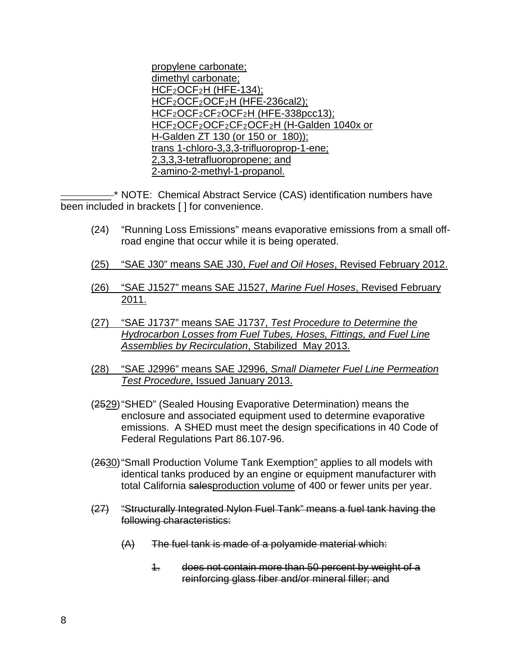propylene carbonate; dimethyl carbonate; HCF2OCF2H (HFE-134); HCF<sub>2</sub>OCF<sub>2</sub>OCF<sub>2</sub>H (HFE-236cal2); HCF2OCF2CF2OCF2H (HFE-338pcc13); HCF<sub>2</sub>OCF<sub>2</sub>OCF<sub>2</sub>CF<sub>2</sub>OCF<sub>2</sub>H (H-Galden 1040x or H-Galden ZT 130 (or 150 or 180)); trans 1-chloro-3,3,3-trifluoroprop-1-ene; 2,3,3,3-tetrafluoropropene; and 2-amino-2-methyl-1-propanol.

 $-$ \* NOTE: Chemical Abstract Service (CAS) identification numbers have been included in brackets [ ] for convenience.

- (24) "Running Loss Emissions" means evaporative emissions from a small offroad engine that occur while it is being operated.
- (25) "SAE J30" means SAE J30, *Fuel and Oil Hoses*, Revised February 2012.
- (26) "SAE J1527" means SAE J1527, *Marine Fuel Hoses*, Revised February 2011.
- (27) "SAE J1737" means SAE J1737, *Test Procedure to Determine the Hydrocarbon Losses from Fuel Tubes, Hoses, Fittings, and Fuel Line Assemblies by Recirculation*, Stabilized May 2013.
- (28) "SAE J2996" means SAE J2996, *Small Diameter Fuel Line Permeation Test Procedure*, Issued January 2013.
- (2529)"SHED" (Sealed Housing Evaporative Determination) means the enclosure and associated equipment used to determine evaporative emissions. A SHED must meet the design specifications in 40 Code of Federal Regulations Part 86.107-96.
- (2630)"Small Production Volume Tank Exemption" applies to all models with identical tanks produced by an engine or equipment manufacturer with total California salesproduction volume of 400 or fewer units per year.
- (27) "Structurally Integrated Nylon Fuel Tank" means a fuel tank having the following characteristics:
	- (A) The fuel tank is made of a polyamide material which:
		- 1. does not contain more than 50 percent by weight of a reinforcing glass fiber and/or mineral filler; and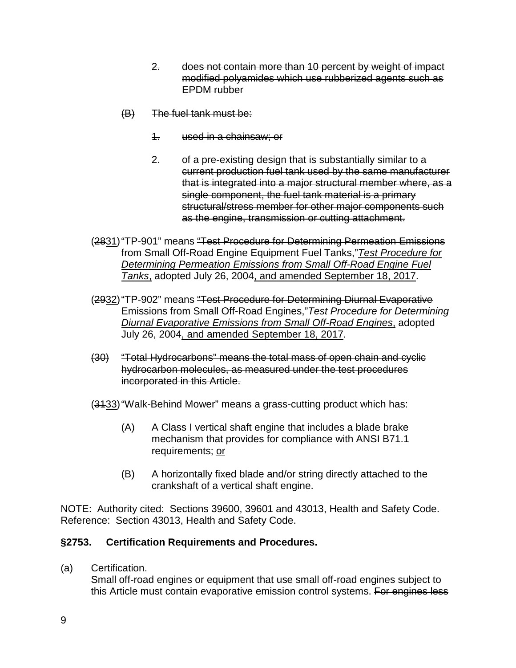- 2. does not contain more than 10 percent by weight of impact modified polyamides which use rubberized agents such as EPDM rubber
- (B) The fuel tank must be:
	- 1. used in a chainsaw; or
	- 2. of a pre-existing design that is substantially similar to a current production fuel tank used by the same manufacturer that is integrated into a major structural member where, as a single component, the fuel tank material is a primary structural/stress member for other major components such as the engine, transmission or cutting attachment.
- (2831)"TP-901" means "Test Procedure for Determining Permeation Emissions from Small Off-Road Engine Equipment Fuel Tanks,"*Test Procedure for Determining Permeation Emissions from Small Off-Road Engine Fuel Tanks*, adopted July 26, 2004, and amended September 18, 2017.
- (2932)"TP-902" means "Test Procedure for Determining Diurnal Evaporative Emissions from Small Off-Road Engines,"*Test Procedure for Determining Diurnal Evaporative Emissions from Small Off-Road Engines*, adopted July 26, 2004, and amended September 18, 2017.
- (30) "Total Hydrocarbons" means the total mass of open chain and cyclic hydrocarbon molecules, as measured under the test procedures incorporated in this Article.
- (3133)"Walk-Behind Mower" means a grass-cutting product which has:
	- (A) A Class I vertical shaft engine that includes a blade brake mechanism that provides for compliance with ANSI B71.1 requirements; or
	- (B) A horizontally fixed blade and/or string directly attached to the crankshaft of a vertical shaft engine.

NOTE: Authority cited: Sections 39600, 39601 and 43013, Health and Safety Code. Reference: Section 43013, Health and Safety Code.

### **§2753. Certification Requirements and Procedures.**

(a) Certification.

Small off-road engines or equipment that use small off-road engines subject to this Article must contain evaporative emission control systems. For engines less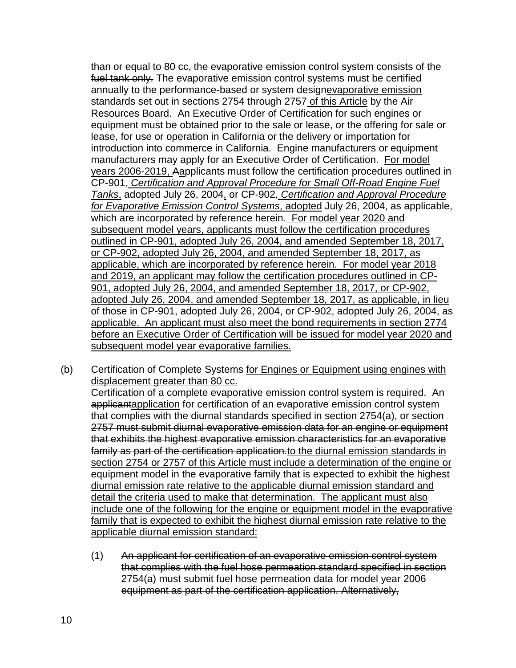than or equal to 80 cc, the evaporative emission control system consists of the fuel tank only. The evaporative emission control systems must be certified annually to the performance-based or system designevaporative emission standards set out in sections 2754 through 2757 of this Article by the Air Resources Board. An Executive Order of Certification for such engines or equipment must be obtained prior to the sale or lease, or the offering for sale or lease, for use or operation in California or the delivery or importation for introduction into commerce in California. Engine manufacturers or equipment manufacturers may apply for an Executive Order of Certification. For model years 2006-2019, Aapplicants must follow the certification procedures outlined in CP-901, *Certification and Approval Procedure for Small Off-Road Engine Fuel Tanks*, adopted July 26, 2004, or CP-902, *Certification and Approval Procedure for Evaporative Emission Control Systems*, adopted July 26, 2004, as applicable, which are incorporated by reference herein. For model year 2020 and subsequent model years, applicants must follow the certification procedures outlined in CP-901, adopted July 26, 2004, and amended September 18, 2017, or CP-902, adopted July 26, 2004, and amended September 18, 2017, as applicable, which are incorporated by reference herein. For model year 2018 and 2019, an applicant may follow the certification procedures outlined in CP-901, adopted July 26, 2004, and amended September 18, 2017, or CP-902, adopted July 26, 2004, and amended September 18, 2017, as applicable, in lieu of those in CP-901, adopted July 26, 2004, or CP-902, adopted July 26, 2004, as applicable. An applicant must also meet the bond requirements in section 2774 before an Executive Order of Certification will be issued for model year 2020 and subsequent model year evaporative families.

- (b) Certification of Complete Systems for Engines or Equipment using engines with displacement greater than 80 cc. Certification of a complete evaporative emission control system is required. An applicantapplication for certification of an evaporative emission control system that complies with the diurnal standards specified in section 2754(a), or section 2757 must submit diurnal evaporative emission data for an engine or equipment that exhibits the highest evaporative emission characteristics for an evaporative family as part of the certification application to the diurnal emission standards in section 2754 or 2757 of this Article must include a determination of the engine or equipment model in the evaporative family that is expected to exhibit the highest diurnal emission rate relative to the applicable diurnal emission standard and detail the criteria used to make that determination. The applicant must also include one of the following for the engine or equipment model in the evaporative family that is expected to exhibit the highest diurnal emission rate relative to the
	- applicable diurnal emission standard:
	- (1) An applicant for certification of an evaporative emission control system that complies with the fuel hose permeation standard specified in section 2754(a) must submit fuel hose permeation data for model year 2006 equipment as part of the certification application. Alternatively,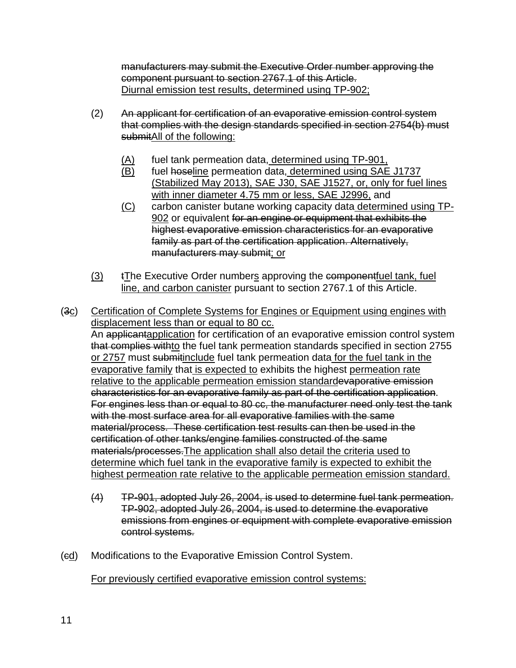manufacturers may submit the Executive Order number approving the component pursuant to section 2767.1 of this Article. Diurnal emission test results, determined using TP-902;

- (2) An applicant for certification of an evaporative emission control system that complies with the design standards specified in section 2754(b) must submitAll of the following:
	- (A) fuel tank permeation data, determined using TP-901,
	- (B) fuel hoseline permeation data, determined using SAE J1737 (Stabilized May 2013), SAE J30, SAE J1527, or, only for fuel lines with inner diameter 4.75 mm or less, SAE J2996, and
	- (C) carbon canister butane working capacity data determined using TP-902 or equivalent for an engine or equipment that exhibits the highest evaporative emission characteristics for an evaporative family as part of the certification application. Alternatively, manufacturers may submit; or
- (3) tThe Executive Order numbers approving the component fuel tank, fuel line, and carbon canister pursuant to section 2767.1 of this Article.
- (3c) Certification of Complete Systems for Engines or Equipment using engines with displacement less than or equal to 80 cc. An applicantapplication for certification of an evaporative emission control system that complies withto the fuel tank permeation standards specified in section 2755 or 2757 must submitinclude fuel tank permeation data for the fuel tank in the evaporative family that is expected to exhibits the highest permeation rate relative to the applicable permeation emission standardevaporative emission characteristics for an evaporative family as part of the certification application. For engines less than or equal to 80 cc, the manufacturer need only test the tank with the most surface area for all evaporative families with the same material/process. These certification test results can then be used in the certification of other tanks/engine families constructed of the same materials/processes.The application shall also detail the criteria used to determine which fuel tank in the evaporative family is expected to exhibit the highest permeation rate relative to the applicable permeation emission standard.
	- (4) TP-901, adopted July 26, 2004, is used to determine fuel tank permeation. TP-902, adopted July 26, 2004, is used to determine the evaporative emissions from engines or equipment with complete evaporative emission control systems.
- (ed) Modifications to the Evaporative Emission Control System.

For previously certified evaporative emission control systems: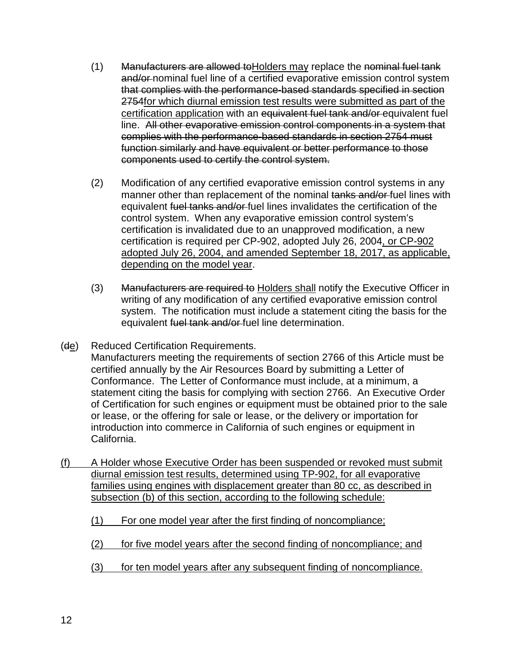- (1) Manufacturers are allowed to Holders may replace the nominal fuel tank and/or-nominal fuel line of a certified evaporative emission control system that complies with the performance-based standards specified in section 2754 for which diurnal emission test results were submitted as part of the certification application with an equivalent fuel tank and/or equivalent fuel line. All other evaporative emission control components in a system that complies with the performance-based standards in section 2754 must function similarly and have equivalent or better performance to those components used to certify the control system.
- (2) Modification of any certified evaporative emission control systems in any manner other than replacement of the nominal tanks and/or-fuel lines with equivalent fuel tanks and/or fuel lines invalidates the certification of the control system. When any evaporative emission control system's certification is invalidated due to an unapproved modification, a new certification is required per CP-902, adopted July 26, 2004, or CP-902 adopted July 26, 2004, and amended September 18, 2017, as applicable, depending on the model year.
- (3) Manufacturers are required to Holders shall notify the Executive Officer in writing of any modification of any certified evaporative emission control system. The notification must include a statement citing the basis for the equivalent fuel tank and/or fuel line determination.
- (de) Reduced Certification Requirements. Manufacturers meeting the requirements of section 2766 of this Article must be certified annually by the Air Resources Board by submitting a Letter of Conformance. The Letter of Conformance must include, at a minimum, a statement citing the basis for complying with section 2766. An Executive Order of Certification for such engines or equipment must be obtained prior to the sale or lease, or the offering for sale or lease, or the delivery or importation for introduction into commerce in California of such engines or equipment in California.
- (f) A Holder whose Executive Order has been suspended or revoked must submit diurnal emission test results, determined using TP-902, for all evaporative families using engines with displacement greater than 80 cc, as described in subsection (b) of this section, according to the following schedule:
	- (1) For one model year after the first finding of noncompliance;
	- (2) for five model years after the second finding of noncompliance; and
	- (3) for ten model years after any subsequent finding of noncompliance.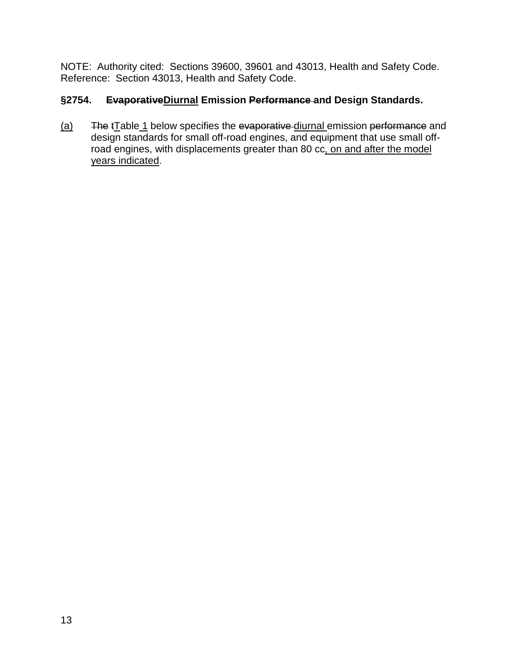NOTE: Authority cited: Sections 39600, 39601 and 43013, Health and Safety Code. Reference: Section 43013, Health and Safety Code.

# **§2754. EvaporativeDiurnal Emission Performance and Design Standards.**

(a) The totable 1 below specifies the evaporative diurnal emission performance and design standards for small off-road engines, and equipment that use small offroad engines, with displacements greater than 80 cc, on and after the model years indicated.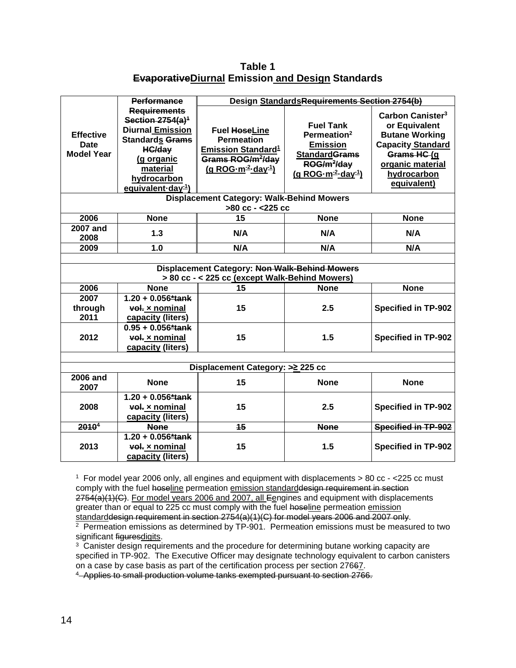**Table 1 EvaporativeDiurnal Emission and Design Standards**

|                                                                                                 | <b>Performance</b>                                                                                                                                                                          | Design StandardsRequirements Section 2754(b)                                                                                                                      |                                                                                                                                                                  |                                                                                                                                                                     |
|-------------------------------------------------------------------------------------------------|---------------------------------------------------------------------------------------------------------------------------------------------------------------------------------------------|-------------------------------------------------------------------------------------------------------------------------------------------------------------------|------------------------------------------------------------------------------------------------------------------------------------------------------------------|---------------------------------------------------------------------------------------------------------------------------------------------------------------------|
| <b>Effective</b><br><b>Date</b><br><b>Model Year</b>                                            | <b>Requirements</b><br>Section $2754(a)^4$<br><b>Diurnal Emission</b><br><b>Standards Grams</b><br><b>HC/day</b><br>(g organic<br>material<br>hydrocarbon<br>equivalent-day <sup>-1</sup> ) | <b>Fuel HoseLine</b><br><b>Permeation</b><br><b>Emission Standard<sup>1</sup></b><br>Grams ROG/m <sup>2</sup> /day<br>(g ROG-m <sup>-2</sup> -day <sup>-1</sup> ) | <b>Fuel Tank</b><br>Permeation <sup>2</sup><br><b>Emission</b><br><b>StandardGrams</b><br>ROG/m <sup>2</sup> /day<br>$(g$ ROG $\cdot m^{-2}$ day <sup>-1</sup> ) | Carbon Canister <sup>3</sup><br>or Equivalent<br><b>Butane Working</b><br><b>Capacity Standard</b><br>Grams HC (g<br>organic material<br>hydrocarbon<br>equivalent) |
|                                                                                                 |                                                                                                                                                                                             | Displacement Category: Walk-Behind Mowers                                                                                                                         |                                                                                                                                                                  |                                                                                                                                                                     |
|                                                                                                 |                                                                                                                                                                                             | >80 cc - <225 cc                                                                                                                                                  |                                                                                                                                                                  |                                                                                                                                                                     |
| 2006                                                                                            | <b>None</b>                                                                                                                                                                                 | 15                                                                                                                                                                | <b>None</b>                                                                                                                                                      | <b>None</b>                                                                                                                                                         |
| <b>2007 and</b><br>2008                                                                         | 1.3                                                                                                                                                                                         | N/A                                                                                                                                                               | N/A                                                                                                                                                              | N/A                                                                                                                                                                 |
| 2009                                                                                            | 1.0                                                                                                                                                                                         | N/A                                                                                                                                                               | N/A                                                                                                                                                              | N/A                                                                                                                                                                 |
| Displacement Category: Non Walk-Behind Mowers<br>> 80 cc - < 225 cc (except Walk-Behind Mowers) |                                                                                                                                                                                             |                                                                                                                                                                   |                                                                                                                                                                  |                                                                                                                                                                     |
| 2006                                                                                            | <b>None</b>                                                                                                                                                                                 | 15                                                                                                                                                                | <b>None</b>                                                                                                                                                      | <b>None</b>                                                                                                                                                         |
| 2007<br>through<br>2011                                                                         | $1.20 + 0.056*$ tank<br>vol. x nominal<br>capacity (liters)                                                                                                                                 | 15                                                                                                                                                                | 2.5                                                                                                                                                              | <b>Specified in TP-902</b>                                                                                                                                          |
| 2012                                                                                            | $0.95 + 0.056*$ tank<br>vol. x nominal<br>capacity (liters)                                                                                                                                 | 15                                                                                                                                                                | 1.5                                                                                                                                                              | <b>Specified in TP-902</b>                                                                                                                                          |
|                                                                                                 |                                                                                                                                                                                             |                                                                                                                                                                   |                                                                                                                                                                  |                                                                                                                                                                     |
| Displacement Category: > ≥ 225 cc<br><b>2006 and</b>                                            |                                                                                                                                                                                             |                                                                                                                                                                   |                                                                                                                                                                  |                                                                                                                                                                     |
| 2007                                                                                            | <b>None</b>                                                                                                                                                                                 | 15                                                                                                                                                                | <b>None</b>                                                                                                                                                      | <b>None</b>                                                                                                                                                         |
| 2008                                                                                            | $1.20 + 0.056*$ tank<br>vol. x nominal<br>capacity (liters)                                                                                                                                 | 15                                                                                                                                                                | 2.5                                                                                                                                                              | <b>Specified in TP-902</b>                                                                                                                                          |
| 2010 <sup>4</sup>                                                                               | <b>None</b>                                                                                                                                                                                 | 15                                                                                                                                                                | <b>None</b>                                                                                                                                                      | Specified in TP-902                                                                                                                                                 |
| 2013                                                                                            | $1.20 + 0.056*$ tank<br>vol. x nominal<br>capacity (liters)                                                                                                                                 | 15                                                                                                                                                                | 1.5                                                                                                                                                              | <b>Specified in TP-902</b>                                                                                                                                          |

1 For model year 2006 only, all engines and equipment with displacements > 80 cc - <225 cc must comply with the fuel hoseline permeation emission standarddesign requirement in section 2754(a)(1)(C). For model years 2006 and 2007, all Eengines and equipment with displacements greater than or equal to 225 cc must comply with the fuel hoseline permeation emission standarddesign requirement in section 2754(a)(1)(C) for model years 2006 and 2007 only.

 $2\overline{P}$  Permeation emissions as determined by TP-901. Permeation emissions must be measured to two significant figuresdigits.

 $3$  Canister design requirements and the procedure for determining butane working capacity are specified in TP-902. The Executive Officer may designate technology equivalent to carbon canisters on a case by case basis as part of the certification process per section 27667.

4 Applies to small production volume tanks exempted pursuant to section 2766.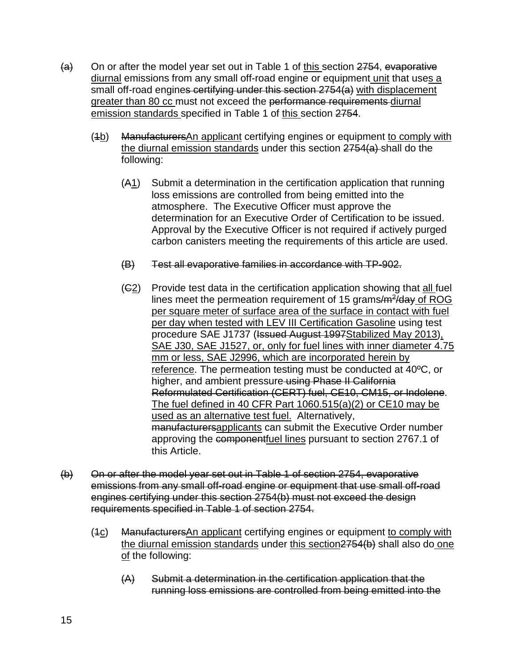- $(a)$  On or after the model year set out in Table 1 of this section 2754, evaporative diurnal emissions from any small off-road engine or equipment unit that uses a small off-road engines certifying under this section 2754(a) with displacement greater than 80 cc must not exceed the performance requirements diurnal emission standards specified in Table 1 of this section 2754.
	- (1b) ManufacturersAn applicant certifying engines or equipment to comply with the diurnal emission standards under this section 2754(a) shall do the following:
		- (A1) Submit a determination in the certification application that running loss emissions are controlled from being emitted into the atmosphere. The Executive Officer must approve the determination for an Executive Order of Certification to be issued. Approval by the Executive Officer is not required if actively purged carbon canisters meeting the requirements of this article are used.
		- (B) Test all evaporative families in accordance with TP-902.
		- (C2) Provide test data in the certification application showing that all fuel lines meet the permeation requirement of 15 grams $/m^2/day$  of ROG per square meter of surface area of the surface in contact with fuel per day when tested with LEV III Certification Gasoline using test procedure SAE J1737 (Issued August 1997Stabilized May 2013), SAE J30, SAE J1527, or, only for fuel lines with inner diameter 4.75 mm or less, SAE J2996, which are incorporated herein by reference. The permeation testing must be conducted at 40ºC, or higher, and ambient pressure using Phase II California Reformulated Certification (CERT) fuel, CE10, CM15, or Indolene. The fuel defined in 40 CFR Part 1060.515(a)(2) or CE10 may be used as an alternative test fuel. Alternatively, manufacturersapplicants can submit the Executive Order number approving the componentfuel lines pursuant to section 2767.1 of this Article.
- (b) On or after the model year set out in Table 1 of section 2754, evaporative emissions from any small off-road engine or equipment that use small off-road engines certifying under this section 2754(b) must not exceed the design requirements specified in Table 1 of section 2754.
	- $(4c)$  Manufacturers An applicant certifying engines or equipment to comply with the diurnal emission standards under this section 2754(b) shall also do one of the following:
		- (A) Submit a determination in the certification application that the running loss emissions are controlled from being emitted into the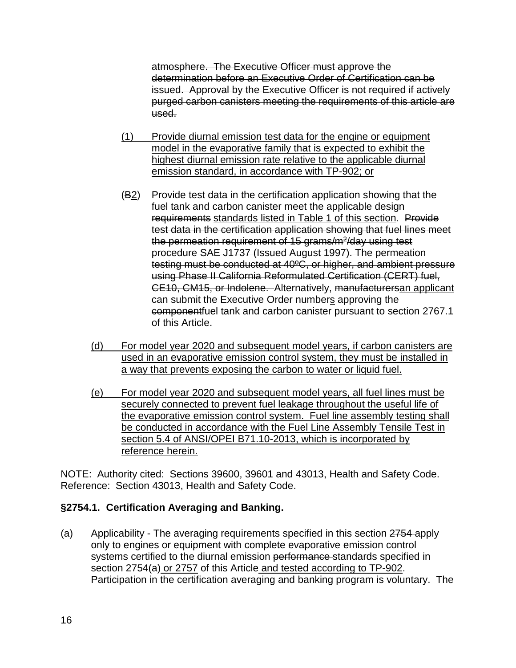atmosphere. The Executive Officer must approve the determination before an Executive Order of Certification can be issued. Approval by the Executive Officer is not required if actively purged carbon canisters meeting the requirements of this article are used.

- (1) Provide diurnal emission test data for the engine or equipment model in the evaporative family that is expected to exhibit the highest diurnal emission rate relative to the applicable diurnal emission standard, in accordance with TP-902; or
- (B2) Provide test data in the certification application showing that the fuel tank and carbon canister meet the applicable design requirements standards listed in Table 1 of this section. Provide test data in the certification application showing that fuel lines meet the permeation requirement of 15 grams/ $m^2$ /day using test procedure SAE J1737 (Issued August 1997). The permeation testing must be conducted at 40ºC, or higher, and ambient pressure using Phase II California Reformulated Certification (CERT) fuel, CE10, CM15, or Indolene. Alternatively, manufacturersan applicant can submit the Executive Order numbers approving the componentfuel tank and carbon canister pursuant to section 2767.1 of this Article.
- (d) For model year 2020 and subsequent model years, if carbon canisters are used in an evaporative emission control system, they must be installed in a way that prevents exposing the carbon to water or liquid fuel.
- (e) For model year 2020 and subsequent model years, all fuel lines must be securely connected to prevent fuel leakage throughout the useful life of the evaporative emission control system. Fuel line assembly testing shall be conducted in accordance with the Fuel Line Assembly Tensile Test in section 5.4 of ANSI/OPEI B71.10-2013, which is incorporated by reference herein.

NOTE: Authority cited: Sections 39600, 39601 and 43013, Health and Safety Code. Reference: Section 43013, Health and Safety Code.

### **§2754.1. Certification Averaging and Banking.**

(a) Applicability - The averaging requirements specified in this section 2754 apply only to engines or equipment with complete evaporative emission control systems certified to the diurnal emission performance standards specified in section 2754(a) or 2757 of this Article and tested according to TP-902. Participation in the certification averaging and banking program is voluntary. The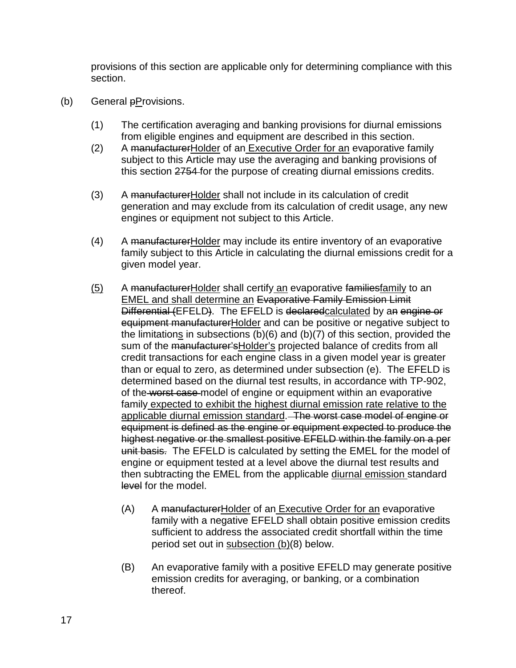provisions of this section are applicable only for determining compliance with this section.

- (b) General  $p$ Provisions.
	- (1) The certification averaging and banking provisions for diurnal emissions from eligible engines and equipment are described in this section.
	- (2) A manufacturer Holder of an Executive Order for an evaporative family subject to this Article may use the averaging and banking provisions of this section 2754 for the purpose of creating diurnal emissions credits.
	- (3) A manufacturerHolder shall not include in its calculation of credit generation and may exclude from its calculation of credit usage, any new engines or equipment not subject to this Article.
	- (4) A manufacturerHolder may include its entire inventory of an evaporative family subject to this Article in calculating the diurnal emissions credit for a given model year.
	- (5) A manufacturerHolder shall certify an evaporative familiesfamily to an EMEL and shall determine an Evaporative Family Emission Limit Differential (EFELD). The EFELD is declared calculated by an engine or equipment manufacturerHolder and can be positive or negative subject to the limitations in subsections (b)(6) and (b)(7) of this section, provided the sum of the manufacturer's Holder's projected balance of credits from all credit transactions for each engine class in a given model year is greater than or equal to zero, as determined under subsection (e). The EFELD is determined based on the diurnal test results, in accordance with TP-902, of the worst case model of engine or equipment within an evaporative family expected to exhibit the highest diurnal emission rate relative to the applicable diurnal emission standard. The worst case model of engine or equipment is defined as the engine or equipment expected to produce the highest negative or the smallest positive EFELD within the family on a per unit basis. The EFELD is calculated by setting the EMEL for the model of engine or equipment tested at a level above the diurnal test results and then subtracting the EMEL from the applicable diurnal emission standard level for the model.
		- (A) A manufacturerHolder of an Executive Order for an evaporative family with a negative EFELD shall obtain positive emission credits sufficient to address the associated credit shortfall within the time period set out in subsection (b)(8) below.
		- (B) An evaporative family with a positive EFELD may generate positive emission credits for averaging, or banking, or a combination thereof.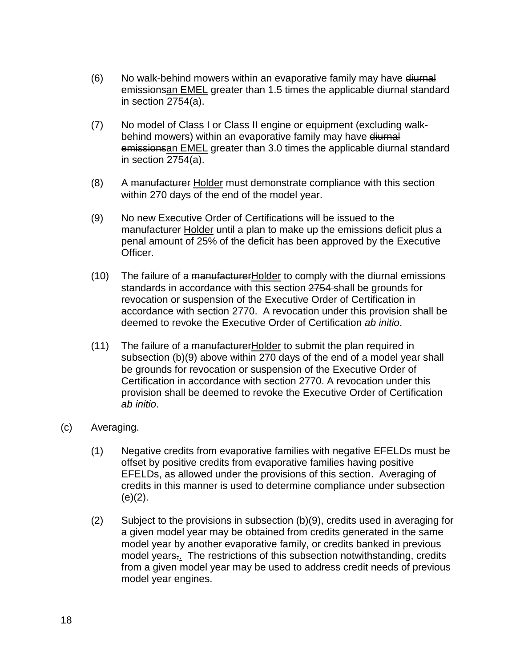- (6) No walk-behind mowers within an evaporative family may have diurnal emissionsan EMEL greater than 1.5 times the applicable diurnal standard in section 2754(a).
- (7) No model of Class I or Class II engine or equipment (excluding walkbehind mowers) within an evaporative family may have diurnal emissionsan EMEL greater than 3.0 times the applicable diurnal standard in section 2754(a).
- (8) A manufacturer Holder must demonstrate compliance with this section within 270 days of the end of the model year.
- (9) No new Executive Order of Certifications will be issued to the manufacturer Holder until a plan to make up the emissions deficit plus a penal amount of 25% of the deficit has been approved by the Executive Officer.
- (10) The failure of a manufacturer Holder to comply with the diurnal emissions standards in accordance with this section 2754 shall be grounds for revocation or suspension of the Executive Order of Certification in accordance with section 2770. A revocation under this provision shall be deemed to revoke the Executive Order of Certification *ab initio*.
- (11) The failure of a manufacturerHolder to submit the plan required in subsection (b)(9) above within 270 days of the end of a model year shall be grounds for revocation or suspension of the Executive Order of Certification in accordance with section 2770. A revocation under this provision shall be deemed to revoke the Executive Order of Certification *ab initio*.
- (c) Averaging.
	- (1) Negative credits from evaporative families with negative EFELDs must be offset by positive credits from evaporative families having positive EFELDs, as allowed under the provisions of this section. Averaging of credits in this manner is used to determine compliance under subsection  $(e)(2)$ .
	- (2) Subject to the provisions in subsection (b)(9), credits used in averaging for a given model year may be obtained from credits generated in the same model year by another evaporative family, or credits banked in previous model years<sub>7</sub>. The restrictions of this subsection notwithstanding, credits from a given model year may be used to address credit needs of previous model year engines.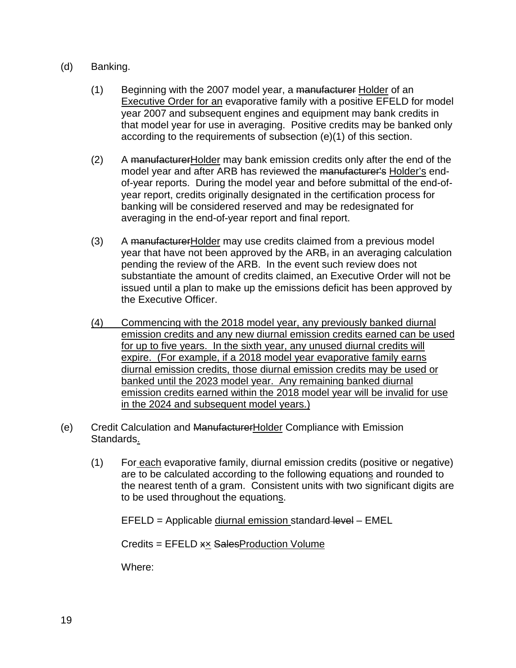#### (d) Banking.

- (1) Beginning with the 2007 model year, a manufacturer Holder of an Executive Order for an evaporative family with a positive EFELD for model year 2007 and subsequent engines and equipment may bank credits in that model year for use in averaging. Positive credits may be banked only according to the requirements of subsection (e)(1) of this section.
- (2) A manufacturer Holder may bank emission credits only after the end of the model year and after ARB has reviewed the manufacturer's Holder's endof-year reports. During the model year and before submittal of the end-ofyear report, credits originally designated in the certification process for banking will be considered reserved and may be redesignated for averaging in the end-of-year report and final report.
- (3) A manufacturerHolder may use credits claimed from a previous model year that have not been approved by the ARB<sub>7</sub> in an averaging calculation pending the review of the ARB. In the event such review does not substantiate the amount of credits claimed, an Executive Order will not be issued until a plan to make up the emissions deficit has been approved by the Executive Officer.
- (4) Commencing with the 2018 model year, any previously banked diurnal emission credits and any new diurnal emission credits earned can be used for up to five years. In the sixth year, any unused diurnal credits will expire. (For example, if a 2018 model year evaporative family earns diurnal emission credits, those diurnal emission credits may be used or banked until the 2023 model year. Any remaining banked diurnal emission credits earned within the 2018 model year will be invalid for use in the 2024 and subsequent model years.)
- (e) Credit Calculation and ManufacturerHolder Compliance with Emission Standards.
	- (1) For each evaporative family, diurnal emission credits (positive or negative) are to be calculated according to the following equations and rounded to the nearest tenth of a gram. Consistent units with two significant digits are to be used throughout the equations.

EFELD = Applicable diurnal emission standard-level - EMEL

Credits = EFELD x× SalesProduction Volume

Where: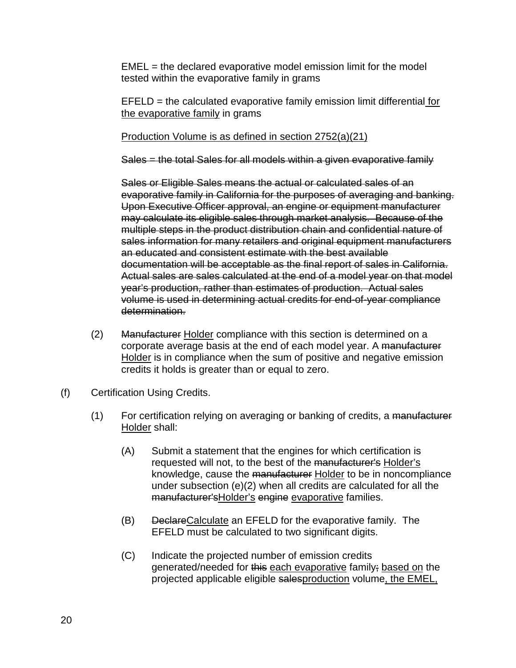$EMEL =$  the declared evaporative model emission limit for the model tested within the evaporative family in grams

 $EFELD =$  the calculated evaporative family emission limit differential for the evaporative family in grams

#### Production Volume is as defined in section 2752(a)(21)

Sales = the total Sales for all models within a given evaporative family

Sales or Eligible Sales means the actual or calculated sales of an evaporative family in California for the purposes of averaging and banking. Upon Executive Officer approval, an engine or equipment manufacturer may calculate its eligible sales through market analysis. Because of the multiple steps in the product distribution chain and confidential nature of sales information for many retailers and original equipment manufacturers an educated and consistent estimate with the best available documentation will be acceptable as the final report of sales in California. Actual sales are sales calculated at the end of a model year on that model year's production, rather than estimates of production. Actual sales volume is used in determining actual credits for end-of-year compliance determination.

- (2) Manufacturer Holder compliance with this section is determined on a corporate average basis at the end of each model year. A manufacturer Holder is in compliance when the sum of positive and negative emission credits it holds is greater than or equal to zero.
- (f) Certification Using Credits.
	- (1) For certification relying on averaging or banking of credits, a manufacturer Holder shall:
		- (A) Submit a statement that the engines for which certification is requested will not, to the best of the manufacturer's Holder's knowledge, cause the manufacturer Holder to be in noncompliance under subsection (e)(2) when all credits are calculated for all the manufacturer'sHolder's engine evaporative families.
		- (B) DeclareCalculate an EFELD for the evaporative family. The EFELD must be calculated to two significant digits.
		- (C) Indicate the projected number of emission credits generated/needed for this each evaporative family; based on the projected applicable eligible salesproduction volume, the EMEL,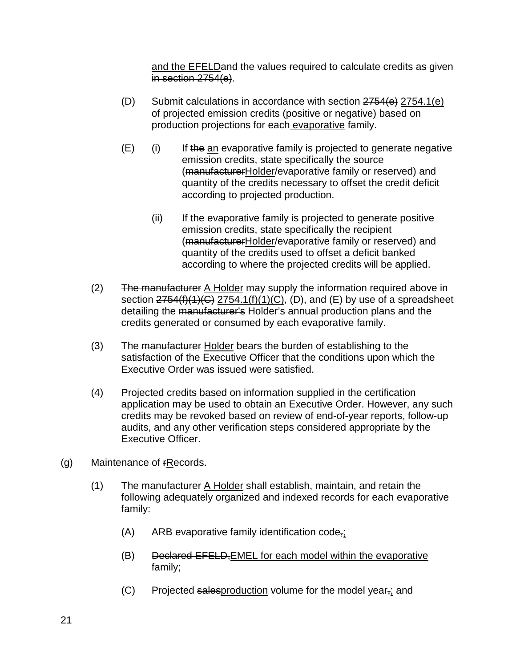and the EFELDand the values required to calculate credits as given in section 2754(e).

- (D) Submit calculations in accordance with section  $2754(e)$   $2754.1(e)$ of projected emission credits (positive or negative) based on production projections for each evaporative family.
- $(E)$  (i) If the an evaporative family is projected to generate negative emission credits, state specifically the source (manufacturerHolder/evaporative family or reserved) and quantity of the credits necessary to offset the credit deficit according to projected production.
	- (ii) If the evaporative family is projected to generate positive emission credits, state specifically the recipient (manufacturerHolder/evaporative family or reserved) and quantity of the credits used to offset a deficit banked according to where the projected credits will be applied.
- (2) The manufacturer A Holder may supply the information required above in section  $2754(f)(1)(C)$  2754.1(f)(1)(C), (D), and (E) by use of a spreadsheet detailing the manufacturer's Holder's annual production plans and the credits generated or consumed by each evaporative family.
- (3) The manufacturer Holder bears the burden of establishing to the satisfaction of the Executive Officer that the conditions upon which the Executive Order was issued were satisfied.
- (4) Projected credits based on information supplied in the certification application may be used to obtain an Executive Order. However, any such credits may be revoked based on review of end-of-year reports, follow-up audits, and any other verification steps considered appropriate by the Executive Officer.
- (g) Maintenance of rRecords.
	- (1) The manufacturer A Holder shall establish, maintain, and retain the following adequately organized and indexed records for each evaporative family:
		- $(A)$  ARB evaporative family identification code,
		- (B) Declared EFELD, EMEL for each model within the evaporative family;
		- $(C)$  Projected salesproduction volume for the model year<sub> $5$ </sub> and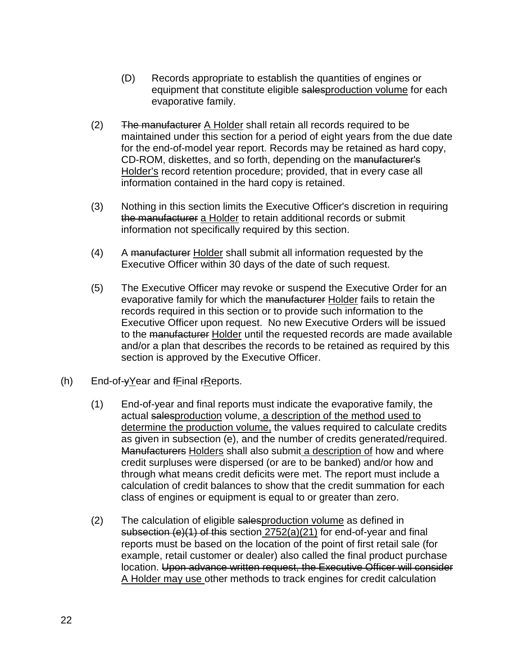- (D) Records appropriate to establish the quantities of engines or equipment that constitute eligible salesproduction volume for each evaporative family.
- $(2)$  The manufacturer A Holder shall retain all records required to be maintained under this section for a period of eight years from the due date for the end-of-model year report. Records may be retained as hard copy, CD-ROM, diskettes, and so forth, depending on the manufacturer's Holder's record retention procedure; provided, that in every case all information contained in the hard copy is retained.
- (3) Nothing in this section limits the Executive Officer's discretion in requiring the manufacturer a Holder to retain additional records or submit information not specifically required by this section.
- (4) A manufacturer Holder shall submit all information requested by the Executive Officer within 30 days of the date of such request.
- (5) The Executive Officer may revoke or suspend the Executive Order for an evaporative family for which the manufacturer Holder fails to retain the records required in this section or to provide such information to the Executive Officer upon request. No new Executive Orders will be issued to the manufacturer Holder until the requested records are made available and/or a plan that describes the records to be retained as required by this section is approved by the Executive Officer.
- (h) End-of-yYear and fFinal rReports.
	- (1) End-of-year and final reports must indicate the evaporative family, the actual salesproduction volume, a description of the method used to determine the production volume, the values required to calculate credits as given in subsection (e), and the number of credits generated/required. Manufacturers Holders shall also submit a description of how and where credit surpluses were dispersed (or are to be banked) and/or how and through what means credit deficits were met. The report must include a calculation of credit balances to show that the credit summation for each class of engines or equipment is equal to or greater than zero.
	- (2) The calculation of eligible salesproduction volume as defined in subsection (e)(1) of this section 2752(a)(21) for end-of-year and final reports must be based on the location of the point of first retail sale (for example, retail customer or dealer) also called the final product purchase location. Upon advance written request, the Executive Officer will consider A Holder may use other methods to track engines for credit calculation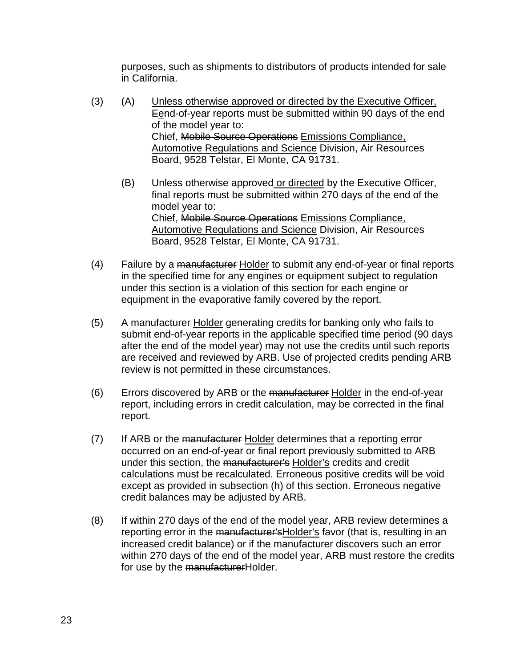purposes, such as shipments to distributors of products intended for sale in California.

- (3) (A) Unless otherwise approved or directed by the Executive Officer, Eend-of-year reports must be submitted within 90 days of the end of the model year to: Chief, Mobile Source Operations Emissions Compliance, Automotive Regulations and Science Division, Air Resources Board, 9528 Telstar, El Monte, CA 91731.
	- (B) Unless otherwise approved or directed by the Executive Officer, final reports must be submitted within 270 days of the end of the model year to: Chief, Mobile Source Operations Emissions Compliance, Automotive Regulations and Science Division, Air Resources Board, 9528 Telstar, El Monte, CA 91731.
- (4) Failure by a manufacturer Holder to submit any end-of-year or final reports in the specified time for any engines or equipment subject to regulation under this section is a violation of this section for each engine or equipment in the evaporative family covered by the report.
- (5) A manufacturer Holder generating credits for banking only who fails to submit end-of-year reports in the applicable specified time period (90 days after the end of the model year) may not use the credits until such reports are received and reviewed by ARB. Use of projected credits pending ARB review is not permitted in these circumstances.
- (6) Errors discovered by ARB or the manufacturer Holder in the end-of-year report, including errors in credit calculation, may be corrected in the final report.
- (7) If ARB or the manufacturer Holder determines that a reporting error occurred on an end-of-year or final report previously submitted to ARB under this section, the manufacturer's Holder's credits and credit calculations must be recalculated. Erroneous positive credits will be void except as provided in subsection (h) of this section. Erroneous negative credit balances may be adjusted by ARB.
- (8) If within 270 days of the end of the model year, ARB review determines a reporting error in the manufacturer's Holder's favor (that is, resulting in an increased credit balance) or if the manufacturer discovers such an error within 270 days of the end of the model year, ARB must restore the credits for use by the manufacturerHolder.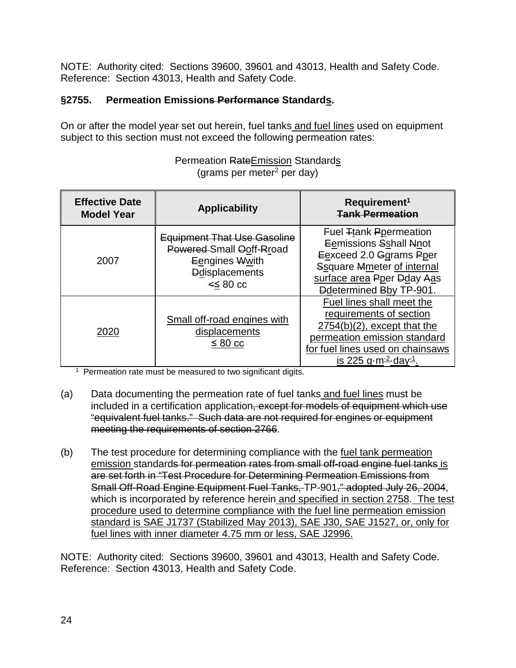NOTE: Authority cited: Sections 39600, 39601 and 43013, Health and Safety Code. Reference: Section 43013, Health and Safety Code.

# **§2755. Permeation Emissions Performance Standards.**

On or after the model year set out herein, fuel tanks and fuel lines used on equipment subject to this section must not exceed the following permeation rates:

| <b>Effective Date</b><br><b>Model Year</b> | <b>Applicability</b>                                                                                                       | Requirement <sup>1</sup><br><b>Tank Permeation</b>                                                                                                                                               |
|--------------------------------------------|----------------------------------------------------------------------------------------------------------------------------|--------------------------------------------------------------------------------------------------------------------------------------------------------------------------------------------------|
| 2007                                       | <b>Equipment That Use Gasoline</b><br>Powered-Small Ooff-Rroad<br>Eengines Wwith<br><b>D</b> displacements<br>$\leq 80$ cc | Fuel Ttank Ppermeation<br>Eemissions Sshall Nnot<br>Eexceed 2.0 Ggrams Pper<br><b>Ssquare Mmeter of internal</b><br>surface area Pper Dday Aas<br><b>Ddetermined Bby TP-901.</b>                 |
| 2020                                       | Small off-road engines with<br>displacements<br>$\leq 80$ cc                                                               | Fuel lines shall meet the<br>requirements of section<br>$2754(b)(2)$ , except that the<br>permeation emission standard<br>for fuel lines used on chainsaws<br>is 225 g $m^2$ day <sup>-1</sup> . |

#### Permeation RateEmission Standards  $(grams per meter<sup>2</sup> per day)$

<sup>1</sup> Permeation rate must be measured to two significant digits.

- (a) Data documenting the permeation rate of fuel tanks and fuel lines must be included in a certification application, except for models of equipment which use "equivalent fuel tanks." Such data are not required for engines or equipment meeting the requirements of section 2766.
- (b) The test procedure for determining compliance with the fuel tank permeation emission standards for permeation rates from small off-road engine fuel tanks is are set forth in "Test Procedure for Determining Permeation Emissions from Small Off-Road Engine Equipment Fuel Tanks, TP-901," adopted July 26, 2004, which is incorporated by reference herein and specified in section 2758. The test procedure used to determine compliance with the fuel line permeation emission standard is SAE J1737 (Stabilized May 2013), SAE J30, SAE J1527, or, only for fuel lines with inner diameter 4.75 mm or less, SAE J2996.

NOTE: Authority cited: Sections 39600, 39601 and 43013, Health and Safety Code. Reference: Section 43013, Health and Safety Code.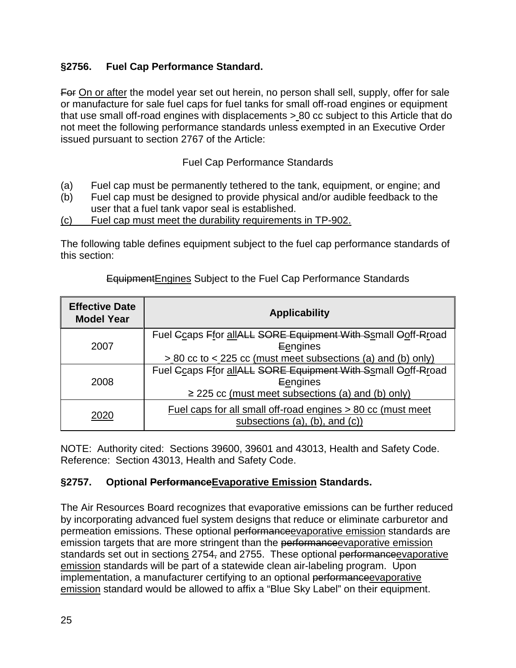### **§2756. Fuel Cap Performance Standard.**

For On or after the model year set out herein, no person shall sell, supply, offer for sale or manufacture for sale fuel caps for fuel tanks for small off-road engines or equipment that use small off-road engines with displacements > 80 cc subject to this Article that do not meet the following performance standards unless exempted in an Executive Order issued pursuant to section 2767 of the Article:

### Fuel Cap Performance Standards

- (a) Fuel cap must be permanently tethered to the tank, equipment, or engine; and
- (b) Fuel cap must be designed to provide physical and/or audible feedback to the user that a fuel tank vapor seal is established.
- (c) Fuel cap must meet the durability requirements in TP-902.

The following table defines equipment subject to the fuel cap performance standards of this section:

| <b>Effective Date</b><br><b>Model Year</b> | <b>Applicability</b>                                                                                                              |  |  |
|--------------------------------------------|-----------------------------------------------------------------------------------------------------------------------------------|--|--|
| 2007                                       | Fuel Gcaps Ffor allALL SORE Equipment With Ssmall Ooff-Rroad<br>Eengines                                                          |  |  |
|                                            | > 80 cc to < 225 cc (must meet subsections (a) and (b) only)                                                                      |  |  |
| 2008                                       | Fuel Ccaps Ffor allALL SORE Equipment With Ssmall Ooff-Rroad<br>Eengines<br>$\ge$ 225 cc (must meet subsections (a) and (b) only) |  |  |
| 2020                                       | Fuel caps for all small off-road engines > 80 cc (must meet<br>subsections (a), (b), and (c))                                     |  |  |

#### EquipmentEngines Subject to the Fuel Cap Performance Standards

NOTE: Authority cited: Sections 39600, 39601 and 43013, Health and Safety Code. Reference: Section 43013, Health and Safety Code.

### **§2757. Optional PerformanceEvaporative Emission Standards.**

The Air Resources Board recognizes that evaporative emissions can be further reduced by incorporating advanced fuel system designs that reduce or eliminate carburetor and permeation emissions. These optional performanceevaporative emission standards are emission targets that are more stringent than the performance evaporative emission standards set out in sections 2754, and 2755. These optional performanceevaporative emission standards will be part of a statewide clean air-labeling program. Upon implementation, a manufacturer certifying to an optional performance evaporative emission standard would be allowed to affix a "Blue Sky Label" on their equipment.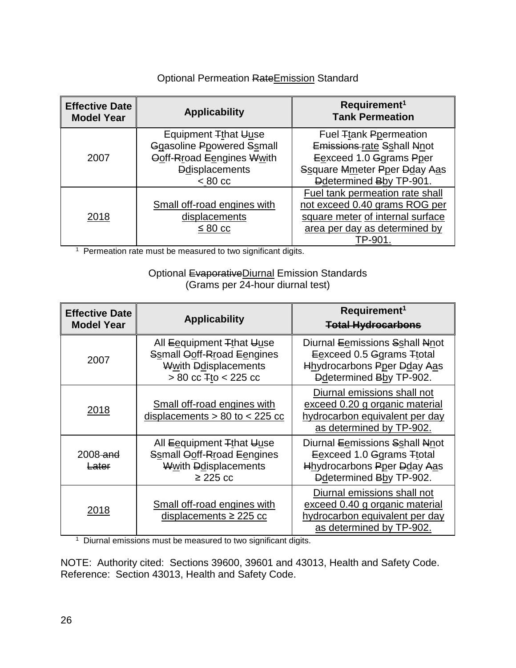### Optional Permeation RateEmission Standard

| <b>Effective Date</b><br><b>Model Year</b> | <b>Applicability</b>                                                                                                                | Requirement <sup>1</sup><br><b>Tank Permeation</b>                                                                                              |
|--------------------------------------------|-------------------------------------------------------------------------------------------------------------------------------------|-------------------------------------------------------------------------------------------------------------------------------------------------|
| 2007                                       | Equipment Tthat Uuse<br><b>Ggasoline Ppowered Ssmall</b><br>Ooff-Rroad Eengines Wwith<br><b>Ddisplacements</b><br>$< 80 \text{ cc}$ | Fuel Ttank Ppermeation<br>Emissions rate Sshall Nnot<br>Eexceed 1.0 Ggrams Pper<br>Ssquare Mmeter Pper Dday Aas<br>Ddetermined Bby TP-901.      |
| 2018                                       | Small off-road engines with<br>displacements<br>$\leq 80$ cc                                                                        | Fuel tank permeation rate shall<br>not exceed 0.40 grams ROG per<br>square meter of internal surface<br>area per day as determined by<br>TP-901 |

<sup>1</sup> Permeation rate must be measured to two significant digits.

#### Optional EvaporativeDiurnal Emission Standards (Grams per 24-hour diurnal test)

| <b>Effective Date</b><br><b>Model Year</b> | <b>Applicability</b>                                                                                         | Requirement <sup>1</sup><br><b>Total Hydrocarbons</b>                                                                               |  |
|--------------------------------------------|--------------------------------------------------------------------------------------------------------------|-------------------------------------------------------------------------------------------------------------------------------------|--|
| 2007                                       | All Eequipment Tthat Uuse<br>Ssmall Ooff-Rroad Eengines<br>Wwith Ddisplacements<br>$> 80$ cc $F$ to < 225 cc | Diurnal Eemissions Sshall Nnot<br>Eexceed 0.5 Ggrams Ttotal<br><b>Hhydrocarbons Pper Dday Aas</b><br><b>Ddetermined Bby TP-902.</b> |  |
| 2018                                       | Small off-road engines with<br>displacements $> 80$ to $< 225$ cc                                            | Diurnal emissions shall not<br>exceed 0.20 g organic material<br>hydrocarbon equivalent per day<br>as determined by TP-902.         |  |
| $2008$ -and<br>Later                       | All Eequipment Tthat Uuse<br>Ssmall Ooff-Rroad Eengines<br><b>Wwith Ddisplacements</b><br>$\geq$ 225 cc      | Diurnal Eemissions Sshall Nnot<br>Eexceed 1.0 Ggrams Ttotal<br>Hhydrocarbons Pper Dday Aas<br>Ddetermined Bby TP-902.               |  |
| 2018                                       | Small off-road engines with<br>displacements $\geq$ 225 cc                                                   | Diurnal emissions shall not<br>exceed 0.40 g organic material<br>hydrocarbon equivalent per day<br>as determined by TP-902.         |  |

<sup>1</sup> Diurnal emissions must be measured to two significant digits.

NOTE: Authority cited: Sections 39600, 39601 and 43013, Health and Safety Code. Reference: Section 43013, Health and Safety Code.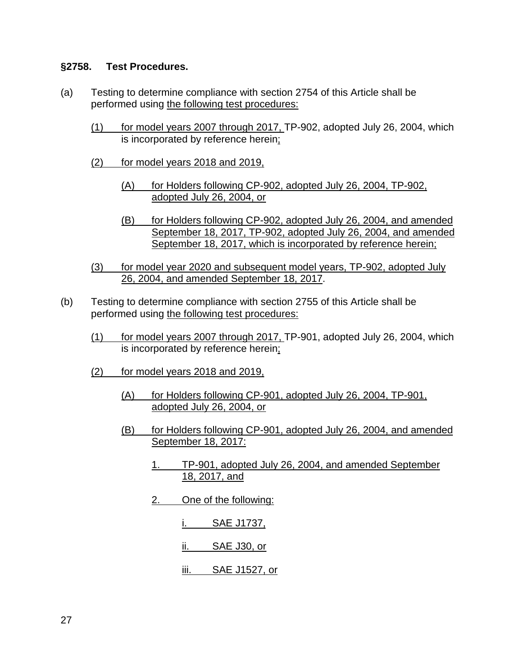#### **§2758. Test Procedures.**

- (a) Testing to determine compliance with section 2754 of this Article shall be performed using the following test procedures:
	- (1) for model years 2007 through 2017, TP-902, adopted July 26, 2004, which is incorporated by reference herein;
	- (2) for model years 2018 and 2019,
		- (A) for Holders following CP-902, adopted July 26, 2004, TP-902, adopted July 26, 2004, or
		- (B) for Holders following CP-902, adopted July 26, 2004, and amended September 18, 2017, TP-902, adopted July 26, 2004, and amended September 18, 2017, which is incorporated by reference herein;
	- (3) for model year 2020 and subsequent model years, TP-902, adopted July 26, 2004, and amended September 18, 2017.
- (b) Testing to determine compliance with section 2755 of this Article shall be performed using the following test procedures:
	- (1) for model years 2007 through 2017, TP-901, adopted July 26, 2004, which is incorporated by reference herein;
	- (2) for model years 2018 and 2019,
		- (A) for Holders following CP-901, adopted July 26, 2004, TP-901, adopted July 26, 2004, or
		- (B) for Holders following CP-901, adopted July 26, 2004, and amended September 18, 2017:
			- 1. TP-901, adopted July 26, 2004, and amended September 18, 2017, and
			- 2. One of the following:
				- i. SAE J1737,
				- ii. SAE J30, or
				- iii. SAE J1527, or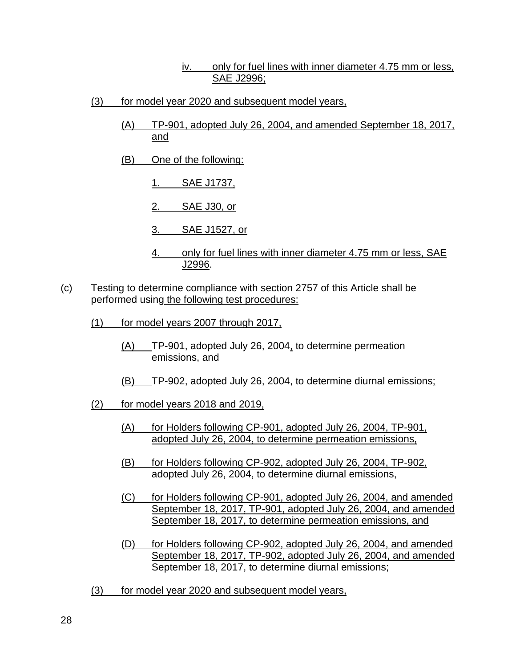#### iv. only for fuel lines with inner diameter 4.75 mm or less, SAE J2996;

- (3) for model year 2020 and subsequent model years,
	- (A) TP-901, adopted July 26, 2004, and amended September 18, 2017, and
	- (B) One of the following:
		- 1. SAE J1737,
		- 2. SAE J30, or
		- 3. SAE J1527, or
		- 4. only for fuel lines with inner diameter 4.75 mm or less, SAE J2996.
- (c) Testing to determine compliance with section 2757 of this Article shall be performed using the following test procedures:
	- (1) for model years 2007 through 2017,
		- (A) TP-901, adopted July 26, 2004, to determine permeation emissions, and
		- (B) TP-902, adopted July 26, 2004, to determine diurnal emissions;
	- (2) for model years 2018 and 2019,
		- (A) for Holders following CP-901, adopted July 26, 2004, TP-901, adopted July 26, 2004, to determine permeation emissions,
		- (B) for Holders following CP-902, adopted July 26, 2004, TP-902, adopted July 26, 2004, to determine diurnal emissions,
		- (C) for Holders following CP-901, adopted July 26, 2004, and amended September 18, 2017, TP-901, adopted July 26, 2004, and amended September 18, 2017, to determine permeation emissions, and
		- (D) for Holders following CP-902, adopted July 26, 2004, and amended September 18, 2017, TP-902, adopted July 26, 2004, and amended September 18, 2017, to determine diurnal emissions;
	- (3) for model year 2020 and subsequent model years,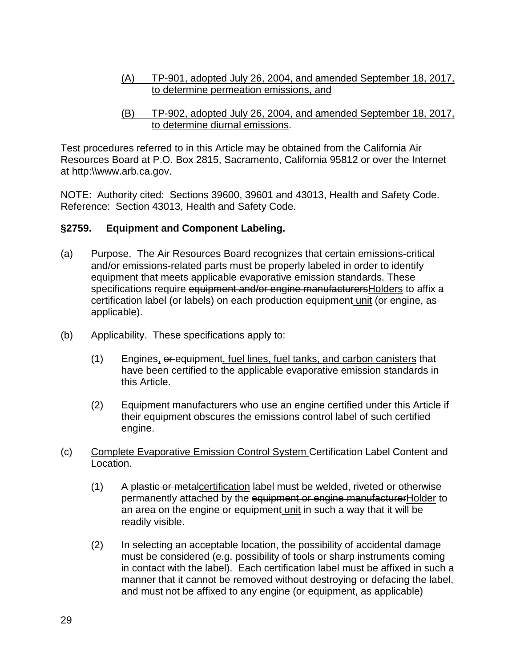- (A) TP-901, adopted July 26, 2004, and amended September 18, 2017, to determine permeation emissions, and
- (B) TP-902, adopted July 26, 2004, and amended September 18, 2017, to determine diurnal emissions.

Test procedures referred to in this Article may be obtained from the California Air Resources Board at P.O. Box 2815, Sacramento, California 95812 or over the Internet at http:\\www.arb.ca.gov.

NOTE: Authority cited: Sections 39600, 39601 and 43013, Health and Safety Code. Reference: Section 43013, Health and Safety Code.

#### **§2759. Equipment and Component Labeling.**

- (a) Purpose. The Air Resources Board recognizes that certain emissions-critical and/or emissions-related parts must be properly labeled in order to identify equipment that meets applicable evaporative emission standards. These specifications require equipment and/or engine manufacturersHolders to affix a certification label (or labels) on each production equipment unit (or engine, as applicable).
- (b) Applicability. These specifications apply to:
	- (1) Engines, or equipment, fuel lines, fuel tanks, and carbon canisters that have been certified to the applicable evaporative emission standards in this Article.
	- (2) Equipment manufacturers who use an engine certified under this Article if their equipment obscures the emissions control label of such certified engine.
- (c) Complete Evaporative Emission Control System Certification Label Content and Location.
	- (1) A plastic or metalcertification label must be welded, riveted or otherwise permanently attached by the equipment or engine manufacturerHolder to an area on the engine or equipment unit in such a way that it will be readily visible.
	- (2) In selecting an acceptable location, the possibility of accidental damage must be considered (e.g. possibility of tools or sharp instruments coming in contact with the label). Each certification label must be affixed in such a manner that it cannot be removed without destroying or defacing the label, and must not be affixed to any engine (or equipment, as applicable)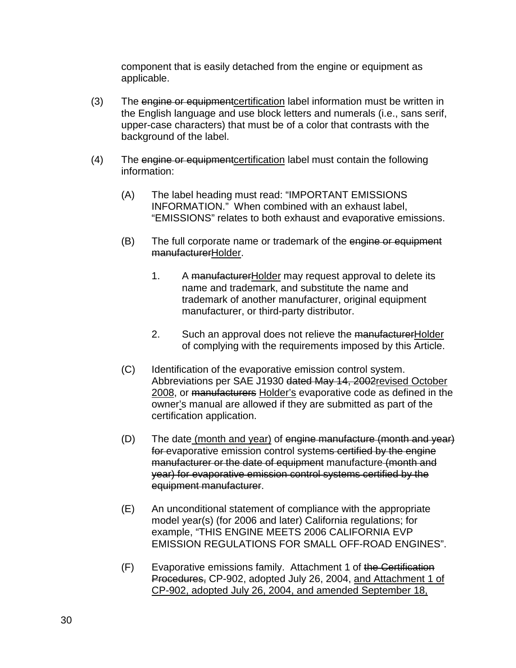component that is easily detached from the engine or equipment as applicable.

- (3) The engine or equipment certification label information must be written in the English language and use block letters and numerals (i.e., sans serif, upper-case characters) that must be of a color that contrasts with the background of the label.
- (4) The engine or equipmentcertification label must contain the following information:
	- (A) The label heading must read: "IMPORTANT EMISSIONS INFORMATION." When combined with an exhaust label, "EMISSIONS" relates to both exhaust and evaporative emissions.
	- (B) The full corporate name or trademark of the engine or equipment manufacturerHolder.
		- 1. A manufacturer Holder may request approval to delete its name and trademark, and substitute the name and trademark of another manufacturer, original equipment manufacturer, or third-party distributor.
		- 2. Such an approval does not relieve the manufacturerHolder of complying with the requirements imposed by this Article.
	- (C) Identification of the evaporative emission control system. Abbreviations per SAE J1930 dated May 14, 2002revised October 2008, or manufacturers Holder's evaporative code as defined in the owner's manual are allowed if they are submitted as part of the certification application.
	- (D) The date (month and year) of engine manufacture (month and year) for evaporative emission control systems certified by the engine manufacturer or the date of equipment manufacture (month and year) for evaporative emission control systems certified by the equipment manufacturer.
	- (E) An unconditional statement of compliance with the appropriate model year(s) (for 2006 and later) California regulations; for example, "THIS ENGINE MEETS 2006 CALIFORNIA EVP EMISSION REGULATIONS FOR SMALL OFF-ROAD ENGINES".
	- (F) Evaporative emissions family. Attachment 1 of the Certification Procedures, CP-902, adopted July 26, 2004, and Attachment 1 of CP-902, adopted July 26, 2004, and amended September 18,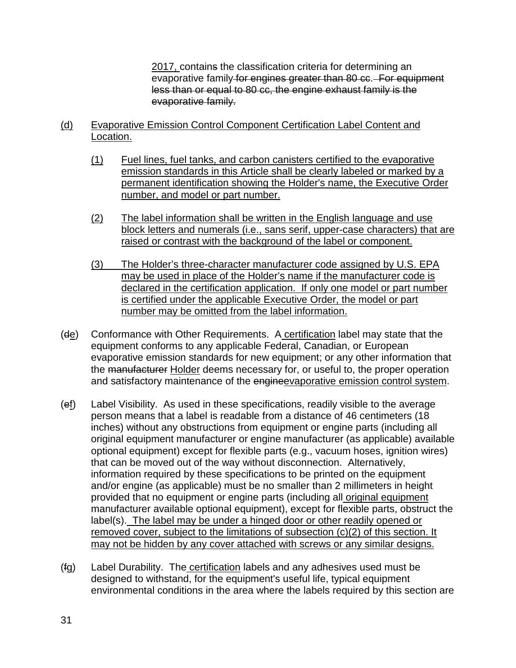2017, contains the classification criteria for determining an evaporative family for engines greater than 80 cc. For equipment less than or equal to 80 cc, the engine exhaust family is the evaporative family.

- (d) Evaporative Emission Control Component Certification Label Content and Location.
	- (1) Fuel lines, fuel tanks, and carbon canisters certified to the evaporative emission standards in this Article shall be clearly labeled or marked by a permanent identification showing the Holder's name, the Executive Order number, and model or part number.
	- (2) The label information shall be written in the English language and use block letters and numerals (i.e., sans serif, upper-case characters) that are raised or contrast with the background of the label or component.
	- (3) The Holder's three-character manufacturer code assigned by U.S. EPA may be used in place of the Holder's name if the manufacturer code is declared in the certification application. If only one model or part number is certified under the applicable Executive Order, the model or part number may be omitted from the label information.
- (de) Conformance with Other Requirements. A certification label may state that the equipment conforms to any applicable Federal, Canadian, or European evaporative emission standards for new equipment; or any other information that the manufacturer Holder deems necessary for, or useful to, the proper operation and satisfactory maintenance of the engineevaporative emission control system.
- (ef) Label Visibility. As used in these specifications, readily visible to the average person means that a label is readable from a distance of 46 centimeters (18 inches) without any obstructions from equipment or engine parts (including all original equipment manufacturer or engine manufacturer (as applicable) available optional equipment) except for flexible parts (e.g., vacuum hoses, ignition wires) that can be moved out of the way without disconnection. Alternatively, information required by these specifications to be printed on the equipment and/or engine (as applicable) must be no smaller than 2 millimeters in height provided that no equipment or engine parts (including all original equipment manufacturer available optional equipment), except for flexible parts, obstruct the label(s). The label may be under a hinged door or other readily opened or removed cover, subject to the limitations of subsection (c)(2) of this section. It may not be hidden by any cover attached with screws or any similar designs.
- (fg) Label Durability. The certification labels and any adhesives used must be designed to withstand, for the equipment's useful life, typical equipment environmental conditions in the area where the labels required by this section are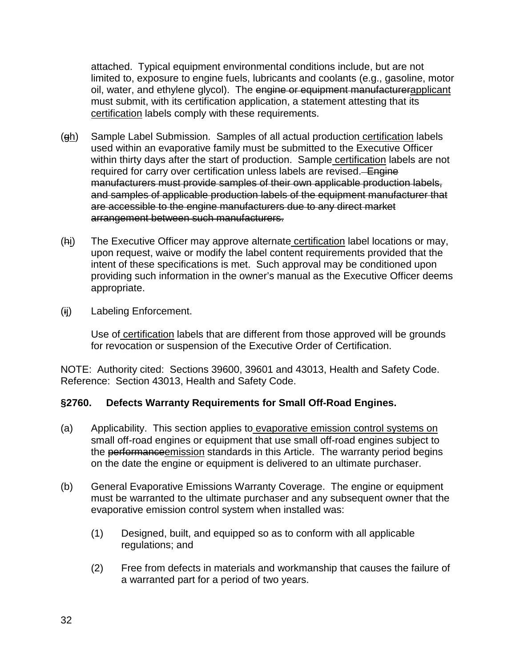attached. Typical equipment environmental conditions include, but are not limited to, exposure to engine fuels, lubricants and coolants (e.g., gasoline, motor oil, water, and ethylene glycol). The engine or equipment manufacturerapplicant must submit, with its certification application, a statement attesting that its certification labels comply with these requirements.

- (gh) Sample Label Submission. Samples of all actual production certification labels used within an evaporative family must be submitted to the Executive Officer within thirty days after the start of production. Sample certification labels are not required for carry over certification unless labels are revised.Engine manufacturers must provide samples of their own applicable production labels, and samples of applicable production labels of the equipment manufacturer that are accessible to the engine manufacturers due to any direct market arrangement between such manufacturers.
- (hi) The Executive Officer may approve alternate certification label locations or may, upon request, waive or modify the label content requirements provided that the intent of these specifications is met. Such approval may be conditioned upon providing such information in the owner's manual as the Executive Officer deems appropriate.
- (ij) Labeling Enforcement.

Use of certification labels that are different from those approved will be grounds for revocation or suspension of the Executive Order of Certification.

NOTE: Authority cited: Sections 39600, 39601 and 43013, Health and Safety Code. Reference: Section 43013, Health and Safety Code.

### **§2760. Defects Warranty Requirements for Small Off-Road Engines.**

- (a) Applicability. This section applies to evaporative emission control systems on small off-road engines or equipment that use small off-road engines subject to the performance emission standards in this Article. The warranty period begins on the date the engine or equipment is delivered to an ultimate purchaser.
- (b) General Evaporative Emissions Warranty Coverage. The engine or equipment must be warranted to the ultimate purchaser and any subsequent owner that the evaporative emission control system when installed was:
	- (1) Designed, built, and equipped so as to conform with all applicable regulations; and
	- (2) Free from defects in materials and workmanship that causes the failure of a warranted part for a period of two years.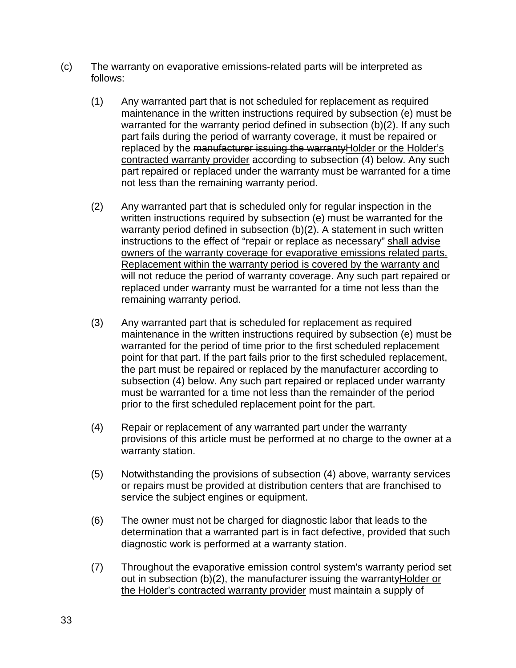- (c) The warranty on evaporative emissions-related parts will be interpreted as follows:
	- (1) Any warranted part that is not scheduled for replacement as required maintenance in the written instructions required by subsection (e) must be warranted for the warranty period defined in subsection (b)(2). If any such part fails during the period of warranty coverage, it must be repaired or replaced by the manufacturer issuing the warrantyHolder or the Holder's contracted warranty provider according to subsection (4) below. Any such part repaired or replaced under the warranty must be warranted for a time not less than the remaining warranty period.
	- (2) Any warranted part that is scheduled only for regular inspection in the written instructions required by subsection (e) must be warranted for the warranty period defined in subsection (b)(2). A statement in such written instructions to the effect of "repair or replace as necessary" shall advise owners of the warranty coverage for evaporative emissions related parts. Replacement within the warranty period is covered by the warranty and will not reduce the period of warranty coverage. Any such part repaired or replaced under warranty must be warranted for a time not less than the remaining warranty period.
	- (3) Any warranted part that is scheduled for replacement as required maintenance in the written instructions required by subsection (e) must be warranted for the period of time prior to the first scheduled replacement point for that part. If the part fails prior to the first scheduled replacement, the part must be repaired or replaced by the manufacturer according to subsection (4) below. Any such part repaired or replaced under warranty must be warranted for a time not less than the remainder of the period prior to the first scheduled replacement point for the part.
	- (4) Repair or replacement of any warranted part under the warranty provisions of this article must be performed at no charge to the owner at a warranty station.
	- (5) Notwithstanding the provisions of subsection (4) above, warranty services or repairs must be provided at distribution centers that are franchised to service the subject engines or equipment.
	- (6) The owner must not be charged for diagnostic labor that leads to the determination that a warranted part is in fact defective, provided that such diagnostic work is performed at a warranty station.
	- (7) Throughout the evaporative emission control system's warranty period set out in subsection (b)(2), the manufacturer issuing the warrantyHolder or the Holder's contracted warranty provider must maintain a supply of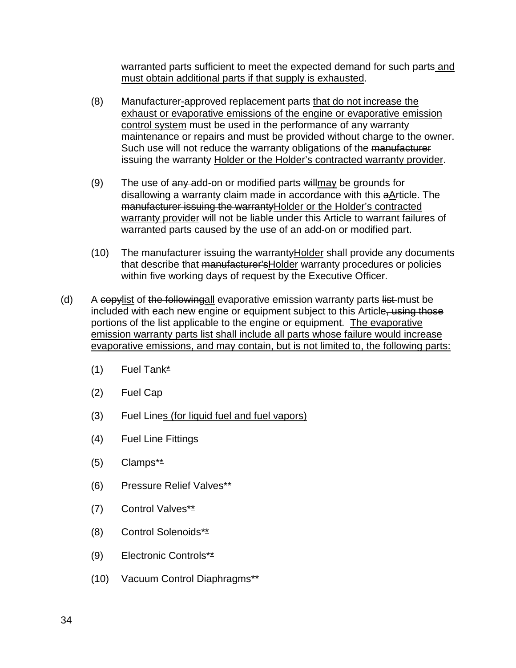warranted parts sufficient to meet the expected demand for such parts and must obtain additional parts if that supply is exhausted.

- (8) Manufacturer-approved replacement parts that do not increase the exhaust or evaporative emissions of the engine or evaporative emission control system must be used in the performance of any warranty maintenance or repairs and must be provided without charge to the owner. Such use will not reduce the warranty obligations of the manufacturer issuing the warranty Holder or the Holder's contracted warranty provider.
- (9) The use of  $\frac{any}{n}$  add-on or modified parts  $\frac{will}{may}$  be grounds for disallowing a warranty claim made in accordance with this aArticle. The manufacturer issuing the warrantyHolder or the Holder's contracted warranty provider will not be liable under this Article to warrant failures of warranted parts caused by the use of an add-on or modified part.
- (10) The manufacturer issuing the warrantyHolder shall provide any documents that describe that manufacturer's Holder warranty procedures or policies within five working days of request by the Executive Officer.
- (d) A copylist of the followingall evaporative emission warranty parts list must be included with each new engine or equipment subject to this Article, using those portions of the list applicable to the engine or equipment. The evaporative emission warranty parts list shall include all parts whose failure would increase evaporative emissions, and may contain, but is not limited to, the following parts:
	- $(1)$  Fuel Tank\*
	- (2) Fuel Cap
	- (3) Fuel Lines (for liquid fuel and fuel vapors)
	- (4) Fuel Line Fittings
	- $(5)$  Clamps<sup>\*\*</sup>
	- (6) Pressure Relief Valves\*\*
	- (7) Control Valves\*\*
	- (8) Control Solenoids\*\*
	- (9) Electronic Controls\*\*
	- (10) Vacuum Control Diaphragms\*\*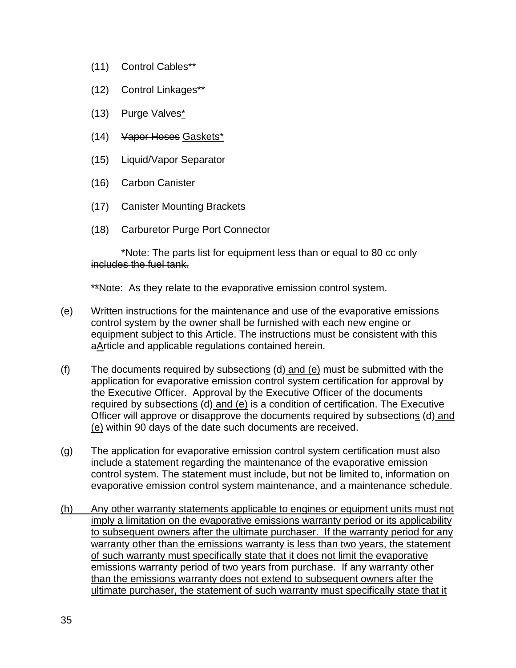- (11) Control Cables\*\*
- (12) Control Linkages\*\*
- (13) Purge Valves\*
- (14) Vapor Hoses Gaskets\*
- (15) Liquid/Vapor Separator
- (16) Carbon Canister
- (17) Canister Mounting Brackets
- (18) Carburetor Purge Port Connector

\*Note: The parts list for equipment less than or equal to 80 cc only includes the fuel tank.

\*\*Note: As they relate to the evaporative emission control system.

- (e) Written instructions for the maintenance and use of the evaporative emissions control system by the owner shall be furnished with each new engine or equipment subject to this Article. The instructions must be consistent with this aArticle and applicable regulations contained herein.
- (f) The documents required by subsections (d) and (e) must be submitted with the application for evaporative emission control system certification for approval by the Executive Officer. Approval by the Executive Officer of the documents required by subsections (d) and (e) is a condition of certification. The Executive Officer will approve or disapprove the documents required by subsections (d) and (e) within 90 days of the date such documents are received.
- (g) The application for evaporative emission control system certification must also include a statement regarding the maintenance of the evaporative emission control system. The statement must include, but not be limited to, information on evaporative emission control system maintenance, and a maintenance schedule.
- (h) Any other warranty statements applicable to engines or equipment units must not imply a limitation on the evaporative emissions warranty period or its applicability to subsequent owners after the ultimate purchaser. If the warranty period for any warranty other than the emissions warranty is less than two years, the statement of such warranty must specifically state that it does not limit the evaporative emissions warranty period of two years from purchase. If any warranty other than the emissions warranty does not extend to subsequent owners after the ultimate purchaser, the statement of such warranty must specifically state that it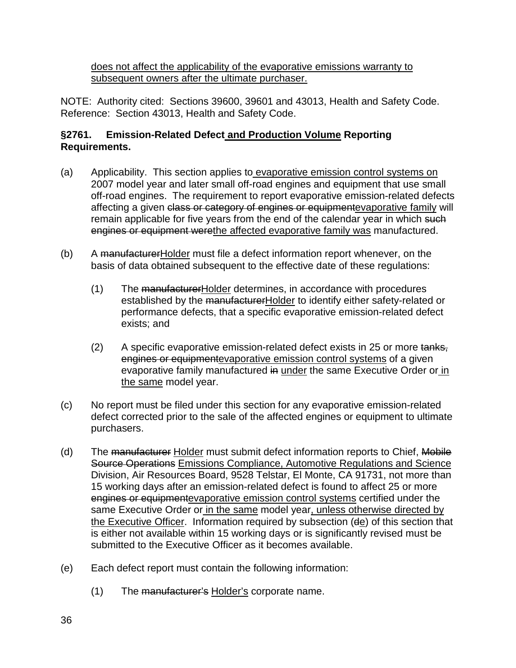does not affect the applicability of the evaporative emissions warranty to subsequent owners after the ultimate purchaser.

NOTE: Authority cited: Sections 39600, 39601 and 43013, Health and Safety Code. Reference: Section 43013, Health and Safety Code.

### **§2761. Emission-Related Defect and Production Volume Reporting Requirements.**

- (a) Applicability. This section applies to evaporative emission control systems on 2007 model year and later small off-road engines and equipment that use small off-road engines. The requirement to report evaporative emission-related defects affecting a given class or category of engines or equipmentevaporative family will remain applicable for five years from the end of the calendar year in which such engines or equipment werethe affected evaporative family was manufactured.
- (b) A manufacturer Holder must file a defect information report whenever, on the basis of data obtained subsequent to the effective date of these regulations:
	- (1) The manufacturerHolder determines, in accordance with procedures established by the manufacturerHolder to identify either safety-related or performance defects, that a specific evaporative emission-related defect exists; and
	- $(2)$  A specific evaporative emission-related defect exists in 25 or more tanks, engines or equipmentevaporative emission control systems of a given evaporative family manufactured in under the same Executive Order or in the same model year.
- (c) No report must be filed under this section for any evaporative emission-related defect corrected prior to the sale of the affected engines or equipment to ultimate purchasers.
- (d) The manufacturer Holder must submit defect information reports to Chief, Mobile Source Operations Emissions Compliance, Automotive Regulations and Science Division, Air Resources Board, 9528 Telstar, El Monte, CA 91731, not more than 15 working days after an emission-related defect is found to affect 25 or more engines or equipmentevaporative emission control systems certified under the same Executive Order or in the same model year, unless otherwise directed by the Executive Officer. Information required by subsection (de) of this section that is either not available within 15 working days or is significantly revised must be submitted to the Executive Officer as it becomes available.
- (e) Each defect report must contain the following information:
	- (1) The manufacturer's Holder's corporate name.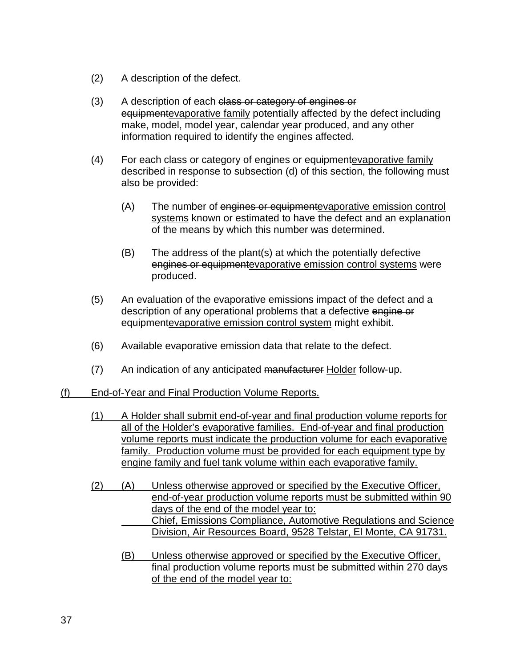- (2) A description of the defect.
- (3) A description of each class or category of engines or equipmentevaporative family potentially affected by the defect including make, model, model year, calendar year produced, and any other information required to identify the engines affected.
- (4) For each class or category of engines or equipmente vaporative family described in response to subsection (d) of this section, the following must also be provided:
	- (A) The number of engines or equipmentevaporative emission control systems known or estimated to have the defect and an explanation of the means by which this number was determined.
	- (B) The address of the plant(s) at which the potentially defective engines or equipmentevaporative emission control systems were produced.
- (5) An evaluation of the evaporative emissions impact of the defect and a description of any operational problems that a defective engine or equipmentevaporative emission control system might exhibit.
- (6) Available evaporative emission data that relate to the defect.
- (7) An indication of any anticipated manufacturer Holder follow-up.
- (f) End-of-Year and Final Production Volume Reports.
	- (1) A Holder shall submit end-of-year and final production volume reports for all of the Holder's evaporative families. End-of-year and final production volume reports must indicate the production volume for each evaporative family. Production volume must be provided for each equipment type by engine family and fuel tank volume within each evaporative family.
	- (2) (A) Unless otherwise approved or specified by the Executive Officer, end-of-year production volume reports must be submitted within 90 days of the end of the model year to: Chief, Emissions Compliance, Automotive Regulations and Science Division, Air Resources Board, 9528 Telstar, El Monte, CA 91731.
		- (B) Unless otherwise approved or specified by the Executive Officer, final production volume reports must be submitted within 270 days of the end of the model year to: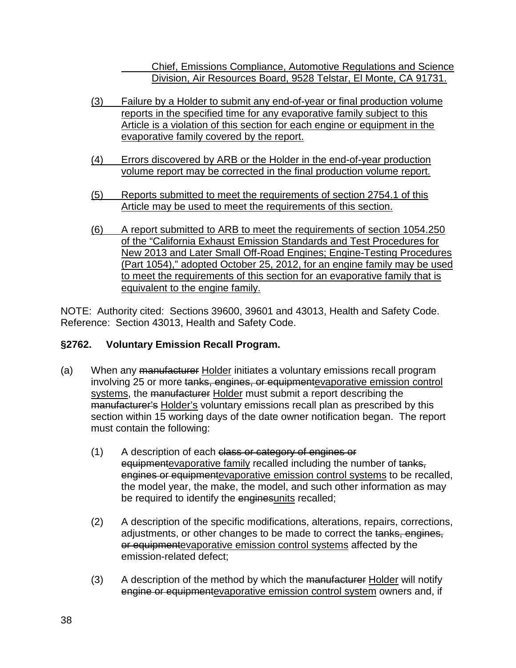Chief, Emissions Compliance, Automotive Regulations and Science Division, Air Resources Board, 9528 Telstar, El Monte, CA 91731.

- (3) Failure by a Holder to submit any end-of-year or final production volume reports in the specified time for any evaporative family subject to this Article is a violation of this section for each engine or equipment in the evaporative family covered by the report.
- (4) Errors discovered by ARB or the Holder in the end-of-year production volume report may be corrected in the final production volume report.
- (5) Reports submitted to meet the requirements of section 2754.1 of this Article may be used to meet the requirements of this section.
- (6) A report submitted to ARB to meet the requirements of section 1054.250 of the "California Exhaust Emission Standards and Test Procedures for New 2013 and Later Small Off-Road Engines; Engine-Testing Procedures (Part 1054)," adopted October 25, 2012, for an engine family may be used to meet the requirements of this section for an evaporative family that is equivalent to the engine family.

NOTE: Authority cited: Sections 39600, 39601 and 43013, Health and Safety Code. Reference: Section 43013, Health and Safety Code.

# **§2762. Voluntary Emission Recall Program.**

- (a) When any manufacturer Holder initiates a voluntary emissions recall program involving 25 or more tanks, engines, or equipmentevaporative emission control systems, the manufacturer Holder must submit a report describing the manufacturer's Holder's voluntary emissions recall plan as prescribed by this section within 15 working days of the date owner notification began. The report must contain the following:
	- (1) A description of each class or category of engines or equipmentevaporative family recalled including the number of tanks, engines or equipmentevaporative emission control systems to be recalled, the model year, the make, the model, and such other information as may be required to identify the enginesunits recalled;
	- (2) A description of the specific modifications, alterations, repairs, corrections, adjustments, or other changes to be made to correct the tanks, engines, or equipmentevaporative emission control systems affected by the emission-related defect;
	- (3) A description of the method by which the manufacturer Holder will notify engine or equipmentevaporative emission control system owners and, if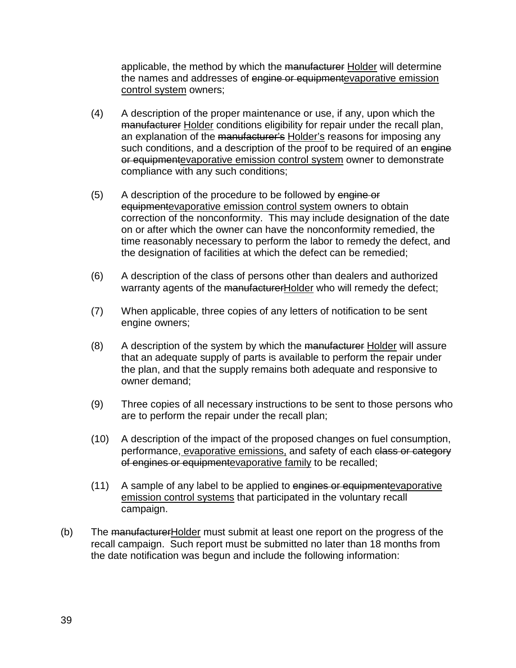applicable, the method by which the manufacturer Holder will determine the names and addresses of engine or equipmentevaporative emission control system owners;

- (4) A description of the proper maintenance or use, if any, upon which the manufacturer Holder conditions eligibility for repair under the recall plan, an explanation of the manufacturer's Holder's reasons for imposing any such conditions, and a description of the proof to be required of an engine or equipmentevaporative emission control system owner to demonstrate compliance with any such conditions;
- (5) A description of the procedure to be followed by engine or equipmentevaporative emission control system owners to obtain correction of the nonconformity. This may include designation of the date on or after which the owner can have the nonconformity remedied, the time reasonably necessary to perform the labor to remedy the defect, and the designation of facilities at which the defect can be remedied;
- (6) A description of the class of persons other than dealers and authorized warranty agents of the manufacturerHolder who will remedy the defect;
- (7) When applicable, three copies of any letters of notification to be sent engine owners;
- (8) A description of the system by which the manufacturer Holder will assure that an adequate supply of parts is available to perform the repair under the plan, and that the supply remains both adequate and responsive to owner demand;
- (9) Three copies of all necessary instructions to be sent to those persons who are to perform the repair under the recall plan;
- (10) A description of the impact of the proposed changes on fuel consumption, performance, evaporative emissions, and safety of each class or category of engines or equipmentevaporative family to be recalled;
- (11) A sample of any label to be applied to engines or equipmente vaporative emission control systems that participated in the voluntary recall campaign.
- (b) The manufacturer Holder must submit at least one report on the progress of the recall campaign. Such report must be submitted no later than 18 months from the date notification was begun and include the following information: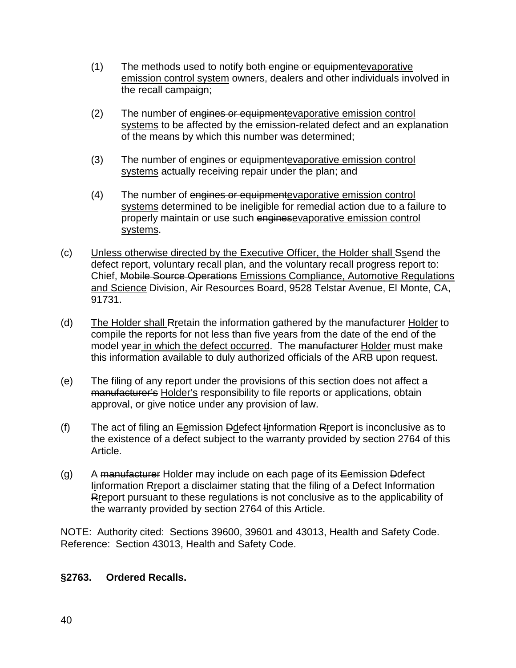- (1) The methods used to notify both engine or equipmente vaporative emission control system owners, dealers and other individuals involved in the recall campaign;
- (2) The number of engines or equipmentevaporative emission control systems to be affected by the emission-related defect and an explanation of the means by which this number was determined;
- (3) The number of engines or equipmentevaporative emission control systems actually receiving repair under the plan; and
- (4) The number of engines or equipmentevaporative emission control systems determined to be ineligible for remedial action due to a failure to properly maintain or use such enginesevaporative emission control systems.
- (c) Unless otherwise directed by the Executive Officer, the Holder shall Ssend the defect report, voluntary recall plan, and the voluntary recall progress report to: Chief, Mobile Source Operations Emissions Compliance, Automotive Regulations and Science Division, Air Resources Board, 9528 Telstar Avenue, El Monte, CA, 91731.
- (d) The Holder shall Rretain the information gathered by the manufacturer Holder to compile the reports for not less than five years from the date of the end of the model year in which the defect occurred. The manufacturer Holder must make this information available to duly authorized officials of the ARB upon request.
- (e) The filing of any report under the provisions of this section does not affect a manufacturer's Holder's responsibility to file reports or applications, obtain approval, or give notice under any provision of law.
- (f) The act of filing an Eemission Ddefect Iinformation Rreport is inconclusive as to the existence of a defect subject to the warranty provided by section 2764 of this Article.
- (g) A manufacturer Holder may include on each page of its  $E$ emission Ddefect Information Rreport a disclaimer stating that the filing of a Defect Information Rreport pursuant to these regulations is not conclusive as to the applicability of the warranty provided by section 2764 of this Article.

NOTE: Authority cited: Sections 39600, 39601 and 43013, Health and Safety Code. Reference: Section 43013, Health and Safety Code.

### **§2763. Ordered Recalls.**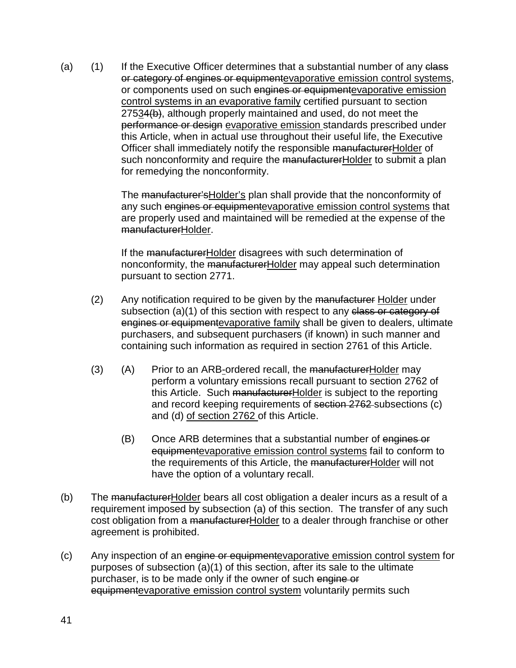(a)  $(1)$  If the Executive Officer determines that a substantial number of any elass or category of engines or equipmentevaporative emission control systems, or components used on such engines or equipmentevaporative emission control systems in an evaporative family certified pursuant to section 27534(b), although properly maintained and used, do not meet the performance or design evaporative emission standards prescribed under this Article, when in actual use throughout their useful life, the Executive Officer shall immediately notify the responsible manufacturerHolder of such nonconformity and require the manufacturerHolder to submit a plan for remedying the nonconformity.

> The manufacturer'sHolder's plan shall provide that the nonconformity of any such engines or equipmentevaporative emission control systems that are properly used and maintained will be remedied at the expense of the manufacturerHolder.

If the manufacturerHolder disagrees with such determination of nonconformity, the manufacturerHolder may appeal such determination pursuant to section 2771.

- (2) Any notification required to be given by the manufacturer Holder under subsection (a)(1) of this section with respect to any class or category of engines or equipmentevaporative family shall be given to dealers, ultimate purchasers, and subsequent purchasers (if known) in such manner and containing such information as required in section 2761 of this Article.
- (3) (A) Prior to an ARB-ordered recall, the manufacturerHolder may perform a voluntary emissions recall pursuant to section 2762 of this Article. Such manufacturerHolder is subject to the reporting and record keeping requirements of section 2762 subsections (c) and (d) of section 2762 of this Article.
	- (B) Once ARB determines that a substantial number of engines or equipmentevaporative emission control systems fail to conform to the requirements of this Article, the manufacturerHolder will not have the option of a voluntary recall.
- (b) The manufacturerHolder bears all cost obligation a dealer incurs as a result of a requirement imposed by subsection (a) of this section. The transfer of any such cost obligation from a manufacturerHolder to a dealer through franchise or other agreement is prohibited.
- (c) Any inspection of an engine or equipmentevaporative emission control system for purposes of subsection (a)(1) of this section, after its sale to the ultimate purchaser, is to be made only if the owner of such engine or equipmentevaporative emission control system voluntarily permits such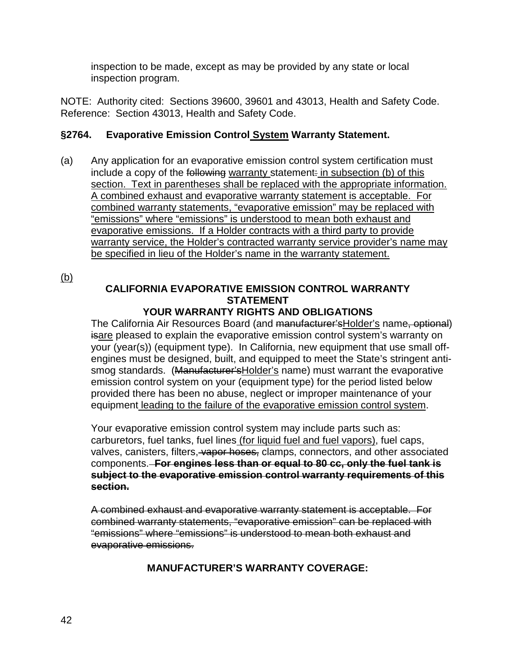inspection to be made, except as may be provided by any state or local inspection program.

NOTE: Authority cited: Sections 39600, 39601 and 43013, Health and Safety Code. Reference: Section 43013, Health and Safety Code.

### **§2764. Evaporative Emission Control System Warranty Statement.**

(a) Any application for an evaporative emission control system certification must include a copy of the following warranty statement: in subsection (b) of this section. Text in parentheses shall be replaced with the appropriate information. A combined exhaust and evaporative warranty statement is acceptable. For combined warranty statements, "evaporative emission" may be replaced with "emissions" where "emissions" is understood to mean both exhaust and evaporative emissions. If a Holder contracts with a third party to provide warranty service, the Holder's contracted warranty service provider's name may be specified in lieu of the Holder's name in the warranty statement.

(b)

# **CALIFORNIA EVAPORATIVE EMISSION CONTROL WARRANTY STATEMENT**

### **YOUR WARRANTY RIGHTS AND OBLIGATIONS**

The California Air Resources Board (and manufacturer's Holder's name, optional) isare pleased to explain the evaporative emission control system's warranty on your (year(s)) (equipment type). In California, new equipment that use small offengines must be designed, built, and equipped to meet the State's stringent antismog standards. (Manufacturer's Holder's name) must warrant the evaporative emission control system on your (equipment type) for the period listed below provided there has been no abuse, neglect or improper maintenance of your equipment leading to the failure of the evaporative emission control system.

Your evaporative emission control system may include parts such as: carburetors, fuel tanks, fuel lines (for liquid fuel and fuel vapors), fuel caps, valves, canisters, filters, vapor hoses, clamps, connectors, and other associated components. **For engines less than or equal to 80 cc, only the fuel tank is subject to the evaporative emission control warranty requirements of this section.**

A combined exhaust and evaporative warranty statement is acceptable. For combined warranty statements, "evaporative emission" can be replaced with "emissions" where "emissions" is understood to mean both exhaust and evaporative emissions.

# **MANUFACTURER'S WARRANTY COVERAGE:**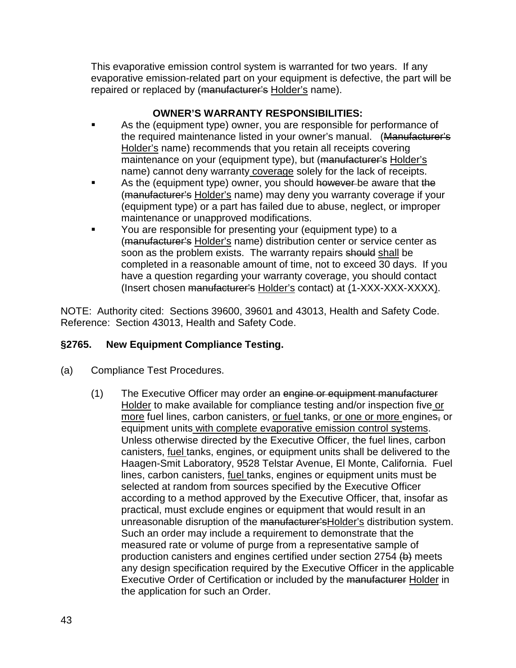This evaporative emission control system is warranted for two years. If any evaporative emission-related part on your equipment is defective, the part will be repaired or replaced by (manufacturer's Holder's name).

# **OWNER'S WARRANTY RESPONSIBILITIES:**

- As the (equipment type) owner, you are responsible for performance of the required maintenance listed in your owner's manual. (Manufacturer's Holder's name) recommends that you retain all receipts covering maintenance on your (equipment type), but (manufacturer's Holder's name) cannot deny warranty coverage solely for the lack of receipts.
- As the (equipment type) owner, you should however be aware that the (manufacturer's Holder's name) may deny you warranty coverage if your (equipment type) or a part has failed due to abuse, neglect, or improper maintenance or unapproved modifications.
- You are responsible for presenting your (equipment type) to a (manufacturer's Holder's name) distribution center or service center as soon as the problem exists. The warranty repairs should shall be completed in a reasonable amount of time, not to exceed 30 days. If you have a question regarding your warranty coverage, you should contact (Insert chosen manufacturer's Holder's contact) at (1-XXX-XXX-XXXX).

NOTE: Authority cited: Sections 39600, 39601 and 43013, Health and Safety Code. Reference: Section 43013, Health and Safety Code.

# **§2765. New Equipment Compliance Testing.**

- (a) Compliance Test Procedures.
	- (1) The Executive Officer may order an engine or equipment manufacturer Holder to make available for compliance testing and/or inspection five or more fuel lines, carbon canisters, or fuel tanks, or one or more engines, or equipment units with complete evaporative emission control systems. Unless otherwise directed by the Executive Officer, the fuel lines, carbon canisters, fuel tanks, engines, or equipment units shall be delivered to the Haagen-Smit Laboratory, 9528 Telstar Avenue, El Monte, California. Fuel lines, carbon canisters, fuel tanks, engines or equipment units must be selected at random from sources specified by the Executive Officer according to a method approved by the Executive Officer, that, insofar as practical, must exclude engines or equipment that would result in an unreasonable disruption of the manufacturer'sHolder's distribution system. Such an order may include a requirement to demonstrate that the measured rate or volume of purge from a representative sample of production canisters and engines certified under section 2754 (b) meets any design specification required by the Executive Officer in the applicable Executive Order of Certification or included by the manufacturer Holder in the application for such an Order.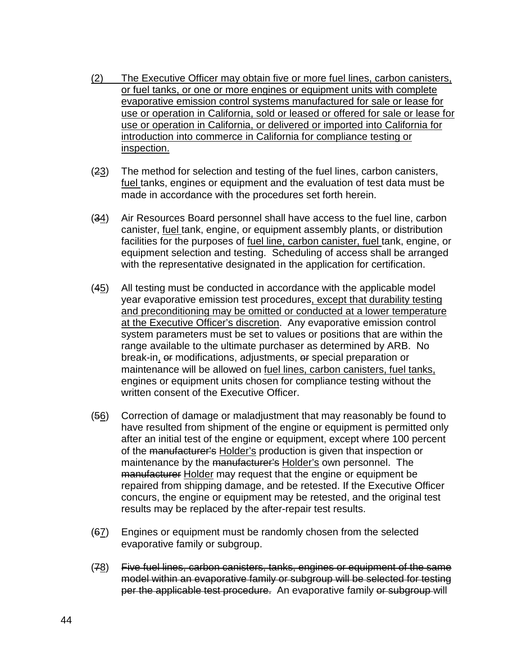- (2) The Executive Officer may obtain five or more fuel lines, carbon canisters, or fuel tanks, or one or more engines or equipment units with complete evaporative emission control systems manufactured for sale or lease for use or operation in California, sold or leased or offered for sale or lease for use or operation in California, or delivered or imported into California for introduction into commerce in California for compliance testing or inspection.
- (23) The method for selection and testing of the fuel lines, carbon canisters, fuel tanks, engines or equipment and the evaluation of test data must be made in accordance with the procedures set forth herein.
- $(34)$  Air Resources Board personnel shall have access to the fuel line, carbon canister, fuel tank, engine, or equipment assembly plants, or distribution facilities for the purposes of fuel line, carbon canister, fuel tank, engine, or equipment selection and testing. Scheduling of access shall be arranged with the representative designated in the application for certification.
- (45) All testing must be conducted in accordance with the applicable model year evaporative emission test procedures, except that durability testing and preconditioning may be omitted or conducted at a lower temperature at the Executive Officer's discretion. Any evaporative emission control system parameters must be set to values or positions that are within the range available to the ultimate purchaser as determined by ARB. No break-in, or modifications, adjustments, or special preparation or maintenance will be allowed on fuel lines, carbon canisters, fuel tanks, engines or equipment units chosen for compliance testing without the written consent of the Executive Officer.
- $(56)$  Correction of damage or maladjustment that may reasonably be found to have resulted from shipment of the engine or equipment is permitted only after an initial test of the engine or equipment, except where 100 percent of the manufacturer's Holder's production is given that inspection or maintenance by the manufacturer's Holder's own personnel. The manufacturer Holder may request that the engine or equipment be repaired from shipping damage, and be retested. If the Executive Officer concurs, the engine or equipment may be retested, and the original test results may be replaced by the after-repair test results.
- $(67)$  Engines or equipment must be randomly chosen from the selected evaporative family or subgroup.
- (78) Five fuel lines, carbon canisters, tanks, engines or equipment of the same model within an evaporative family or subgroup will be selected for testing per the applicable test procedure. An evaporative family or subgroup will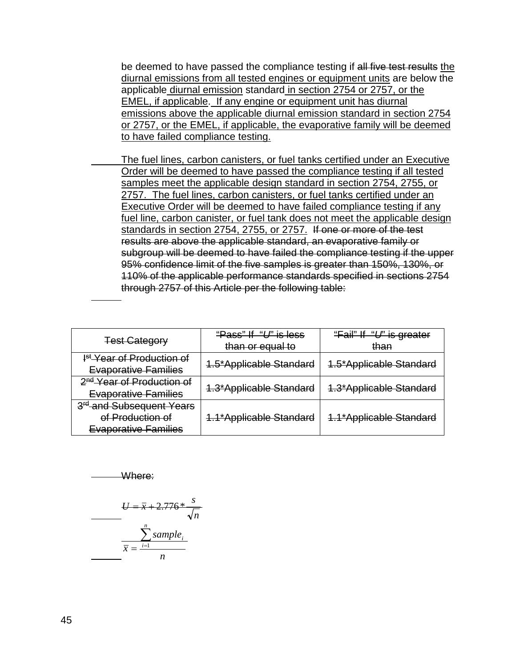be deemed to have passed the compliance testing if all five test results the diurnal emissions from all tested engines or equipment units are below the applicable diurnal emission standard in section 2754 or 2757, or the EMEL, if applicable. If any engine or equipment unit has diurnal emissions above the applicable diurnal emission standard in section 2754 or 2757, or the EMEL, if applicable, the evaporative family will be deemed to have failed compliance testing.

The fuel lines, carbon canisters, or fuel tanks certified under an Executive Order will be deemed to have passed the compliance testing if all tested samples meet the applicable design standard in section 2754, 2755, or 2757. The fuel lines, carbon canisters, or fuel tanks certified under an Executive Order will be deemed to have failed compliance testing if any fuel line, carbon canister, or fuel tank does not meet the applicable design standards in section 2754, 2755, or 2757. If one or more of the test results are above the applicable standard, an evaporative family or subgroup will be deemed to have failed the compliance testing if the upper 95% confidence limit of the five samples is greater than 150%, 130%, or 110% of the applicable performance standards specified in sections 2754 through 2757 of this Article per the following table:

|                                       | <del>"Pass" If <i>"U</i>" is less</del> | "Fail" If "U" is greater |
|---------------------------------------|-----------------------------------------|--------------------------|
| <b>Test Category</b>                  | than or equal to                        | than                     |
| I <sup>st</sup> Year of Production of |                                         |                          |
| <b>Evaporative Families</b>           | 1.5*Applicable Standard                 | 1.5*Applicable Standard  |
| 2 <sup>nd</sup> Year of Production of |                                         |                          |
| <b>Evaporative Families</b>           | 1.3*Applicable Standard                 | 1.3*Applicable Standard  |
| 3 <sup>rd</sup> and Subsequent Years  |                                         |                          |
| of Production of                      | 1.1*Applicable Standard                 | 1.1*Applicable Standard  |
| <b>Evaporative Families</b>           |                                         |                          |

Where:

$$
U = \overline{x} + 2.776 * \frac{s}{\sqrt{n}}
$$

$$
\overline{x} = \frac{\sum_{i=1}^{n} sample_i}{n}
$$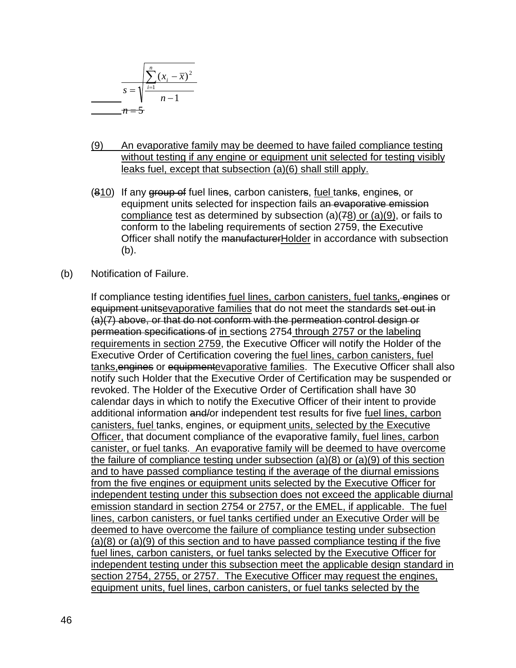$$
s = \sqrt{\frac{\sum_{i=1}^{n} (x_i - \overline{x})^2}{n-1}}
$$
\n
$$
n-1
$$

- (9) An evaporative family may be deemed to have failed compliance testing without testing if any engine or equipment unit selected for testing visibly leaks fuel, except that subsection (a)(6) shall still apply.
- (810) If any group of fuel lines, carbon canisters, fuel tanks, engines, or equipment units selected for inspection fails an evaporative emission compliance test as determined by subsection (a)(78) or (a)(9), or fails to conform to the labeling requirements of section 2759, the Executive Officer shall notify the manufacturerHolder in accordance with subsection (b).
- (b) Notification of Failure.

If compliance testing identifies fuel lines, carbon canisters, fuel tanks, engines or equipment unitsevaporative families that do not meet the standards set out in (a)(7) above, or that do not conform with the permeation control design or permeation specifications of in sections 2754 through 2757 or the labeling requirements in section 2759, the Executive Officer will notify the Holder of the Executive Order of Certification covering the fuel lines, carbon canisters, fuel tanks, engines or equipmentevaporative families. The Executive Officer shall also notify such Holder that the Executive Order of Certification may be suspended or revoked. The Holder of the Executive Order of Certification shall have 30 calendar days in which to notify the Executive Officer of their intent to provide additional information and/or independent test results for five fuel lines, carbon canisters, fuel tanks, engines, or equipment units, selected by the Executive Officer, that document compliance of the evaporative family, fuel lines, carbon canister, or fuel tanks. An evaporative family will be deemed to have overcome the failure of compliance testing under subsection (a)(8) or (a)(9) of this section and to have passed compliance testing if the average of the diurnal emissions from the five engines or equipment units selected by the Executive Officer for independent testing under this subsection does not exceed the applicable diurnal emission standard in section 2754 or 2757, or the EMEL, if applicable. The fuel lines, carbon canisters, or fuel tanks certified under an Executive Order will be deemed to have overcome the failure of compliance testing under subsection  $(a)(8)$  or  $(a)(9)$  of this section and to have passed compliance testing if the five fuel lines, carbon canisters, or fuel tanks selected by the Executive Officer for independent testing under this subsection meet the applicable design standard in section 2754, 2755, or 2757. The Executive Officer may request the engines, equipment units, fuel lines, carbon canisters, or fuel tanks selected by the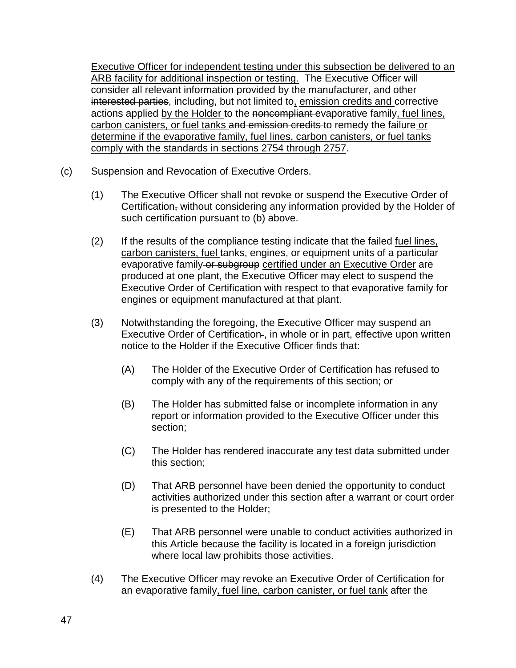Executive Officer for independent testing under this subsection be delivered to an ARB facility for additional inspection or testing. The Executive Officer will consider all relevant information provided by the manufacturer, and other interested parties, including, but not limited to, emission credits and corrective actions applied by the Holder to the noncompliant evaporative family, fuel lines, carbon canisters, or fuel tanks and emission credits to remedy the failure or determine if the evaporative family, fuel lines, carbon canisters, or fuel tanks comply with the standards in sections 2754 through 2757.

- (c) Suspension and Revocation of Executive Orders.
	- (1) The Executive Officer shall not revoke or suspend the Executive Order of Certification, without considering any information provided by the Holder of such certification pursuant to (b) above.
	- (2) If the results of the compliance testing indicate that the failed fuel lines, carbon canisters, fuel tanks, engines, or equipment units of a particular evaporative family or subgroup certified under an Executive Order are produced at one plant, the Executive Officer may elect to suspend the Executive Order of Certification with respect to that evaporative family for engines or equipment manufactured at that plant.
	- (3) Notwithstanding the foregoing, the Executive Officer may suspend an Executive Order of Certification-, in whole or in part, effective upon written notice to the Holder if the Executive Officer finds that:
		- (A) The Holder of the Executive Order of Certification has refused to comply with any of the requirements of this section; or
		- (B) The Holder has submitted false or incomplete information in any report or information provided to the Executive Officer under this section;
		- (C) The Holder has rendered inaccurate any test data submitted under this section;
		- (D) That ARB personnel have been denied the opportunity to conduct activities authorized under this section after a warrant or court order is presented to the Holder;
		- (E) That ARB personnel were unable to conduct activities authorized in this Article because the facility is located in a foreign jurisdiction where local law prohibits those activities.
	- (4) The Executive Officer may revoke an Executive Order of Certification for an evaporative family, fuel line, carbon canister, or fuel tank after the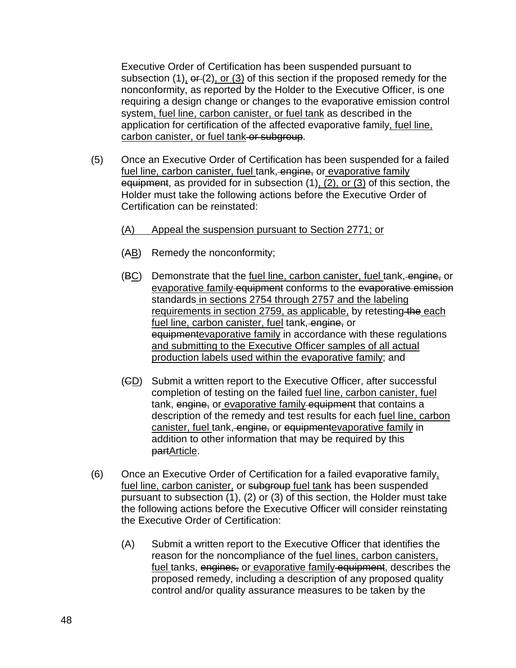Executive Order of Certification has been suspended pursuant to subsection (1),  $\Theta$  (2), or (3) of this section if the proposed remedy for the nonconformity, as reported by the Holder to the Executive Officer, is one requiring a design change or changes to the evaporative emission control system, fuel line, carbon canister, or fuel tank as described in the application for certification of the affected evaporative family, fuel line, carbon canister, or fuel tank or subgroup.

(5) Once an Executive Order of Certification has been suspended for a failed fuel line, carbon canister, fuel tank, engine, or evaporative family equipment, as provided for in subsection (1), (2), or (3) of this section, the Holder must take the following actions before the Executive Order of Certification can be reinstated:

#### (A) Appeal the suspension pursuant to Section 2771; or

- (AB) Remedy the nonconformity;
- (BC) Demonstrate that the <u>fuel line, carbon canister, fuel</u> tank, engine, or evaporative family equipment conforms to the evaporative emission standards in sections 2754 through 2757 and the labeling requirements in section 2759, as applicable, by retesting the each fuel line, carbon canister, fuel tank, engine, or equipmentevaporative family in accordance with these regulations and submitting to the Executive Officer samples of all actual production labels used within the evaporative family; and
- (CD) Submit a written report to the Executive Officer, after successful completion of testing on the failed fuel line, carbon canister, fuel tank, engine, or evaporative family equipment that contains a description of the remedy and test results for each fuel line, carbon canister, fuel tank, engine, or equipmente vaporative family in addition to other information that may be required by this partArticle.
- (6) Once an Executive Order of Certification for a failed evaporative family, fuel line, carbon canister, or subgroup fuel tank has been suspended pursuant to subsection (1), (2) or (3) of this section, the Holder must take the following actions before the Executive Officer will consider reinstating the Executive Order of Certification:
	- (A) Submit a written report to the Executive Officer that identifies the reason for the noncompliance of the fuel lines, carbon canisters, fuel tanks, engines, or evaporative family equipment, describes the proposed remedy, including a description of any proposed quality control and/or quality assurance measures to be taken by the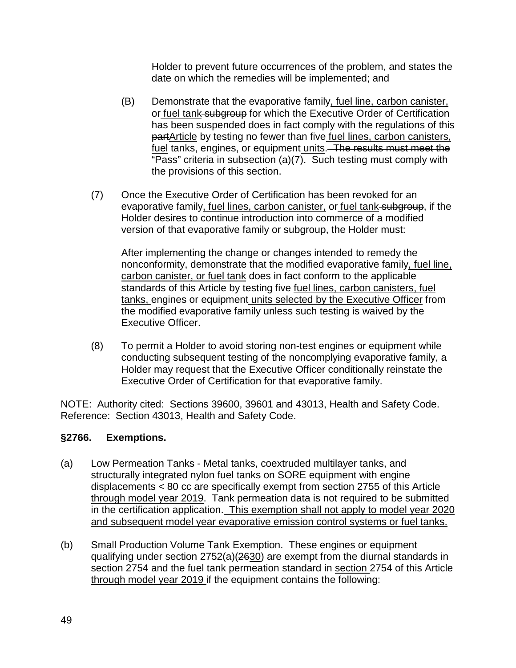Holder to prevent future occurrences of the problem, and states the date on which the remedies will be implemented; and

- (B) Demonstrate that the evaporative family, fuel line, carbon canister, or fuel tank subgroup for which the Executive Order of Certification has been suspended does in fact comply with the regulations of this partArticle by testing no fewer than five fuel lines, carbon canisters, fuel tanks, engines, or equipment units. The results must meet the "Pass" criteria in subsection (a)(7). Such testing must comply with the provisions of this section.
- (7) Once the Executive Order of Certification has been revoked for an evaporative family, fuel lines, carbon canister, or fuel tank subgroup, if the Holder desires to continue introduction into commerce of a modified version of that evaporative family or subgroup, the Holder must:

After implementing the change or changes intended to remedy the nonconformity, demonstrate that the modified evaporative family, fuel line, carbon canister, or fuel tank does in fact conform to the applicable standards of this Article by testing five fuel lines, carbon canisters, fuel tanks, engines or equipment units selected by the Executive Officer from the modified evaporative family unless such testing is waived by the Executive Officer.

(8) To permit a Holder to avoid storing non-test engines or equipment while conducting subsequent testing of the noncomplying evaporative family, a Holder may request that the Executive Officer conditionally reinstate the Executive Order of Certification for that evaporative family.

NOTE: Authority cited: Sections 39600, 39601 and 43013, Health and Safety Code. Reference: Section 43013, Health and Safety Code.

# **§2766. Exemptions.**

- (a) Low Permeation Tanks Metal tanks, coextruded multilayer tanks, and structurally integrated nylon fuel tanks on SORE equipment with engine displacements < 80 cc are specifically exempt from section 2755 of this Article through model year 2019. Tank permeation data is not required to be submitted in the certification application. This exemption shall not apply to model year 2020 and subsequent model year evaporative emission control systems or fuel tanks.
- (b) Small Production Volume Tank Exemption. These engines or equipment qualifying under section 2752(a)(2630) are exempt from the diurnal standards in section 2754 and the fuel tank permeation standard in section 2754 of this Article through model year 2019 if the equipment contains the following: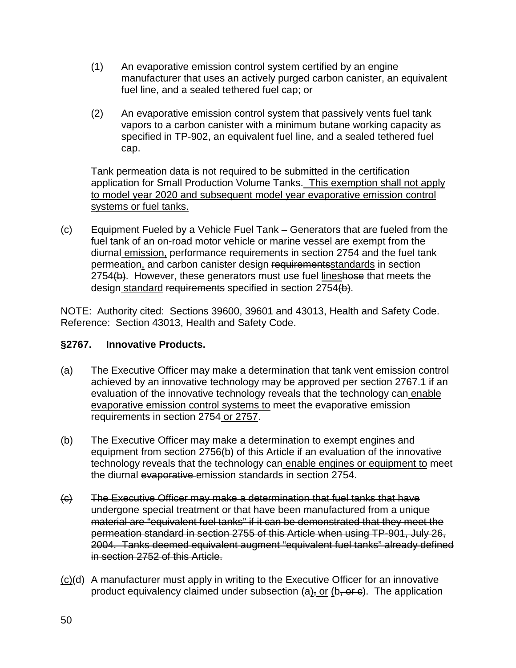- (1) An evaporative emission control system certified by an engine manufacturer that uses an actively purged carbon canister, an equivalent fuel line, and a sealed tethered fuel cap; or
- (2) An evaporative emission control system that passively vents fuel tank vapors to a carbon canister with a minimum butane working capacity as specified in TP-902, an equivalent fuel line, and a sealed tethered fuel cap.

Tank permeation data is not required to be submitted in the certification application for Small Production Volume Tanks. This exemption shall not apply to model year 2020 and subsequent model year evaporative emission control systems or fuel tanks.

(c) Equipment Fueled by a Vehicle Fuel Tank – Generators that are fueled from the fuel tank of an on-road motor vehicle or marine vessel are exempt from the diurnal emission, performance requirements in section 2754 and the fuel tank permeation, and carbon canister design requirementsstandards in section 2754(b). However, these generators must use fuel lineshose that meets the design standard requirements specified in section 2754(b).

NOTE: Authority cited: Sections 39600, 39601 and 43013, Health and Safety Code. Reference: Section 43013, Health and Safety Code.

### **§2767. Innovative Products.**

- (a) The Executive Officer may make a determination that tank vent emission control achieved by an innovative technology may be approved per section 2767.1 if an evaluation of the innovative technology reveals that the technology can enable evaporative emission control systems to meet the evaporative emission requirements in section 2754 or 2757.
- (b) The Executive Officer may make a determination to exempt engines and equipment from section 2756(b) of this Article if an evaluation of the innovative technology reveals that the technology can enable engines or equipment to meet the diurnal evaporative emission standards in section 2754.
- (c) The Executive Officer may make a determination that fuel tanks that have undergone special treatment or that have been manufactured from a unique material are "equivalent fuel tanks" if it can be demonstrated that they meet the permeation standard in section 2755 of this Article when using TP-901, July 26, 2004. Tanks deemed equivalent augment "equivalent fuel tanks" already defined in section 2752 of this Article.
- (c)(d) A manufacturer must apply in writing to the Executive Officer for an innovative product equivalency claimed under subsection  $(a)$ , or  $(b, or c)$ . The application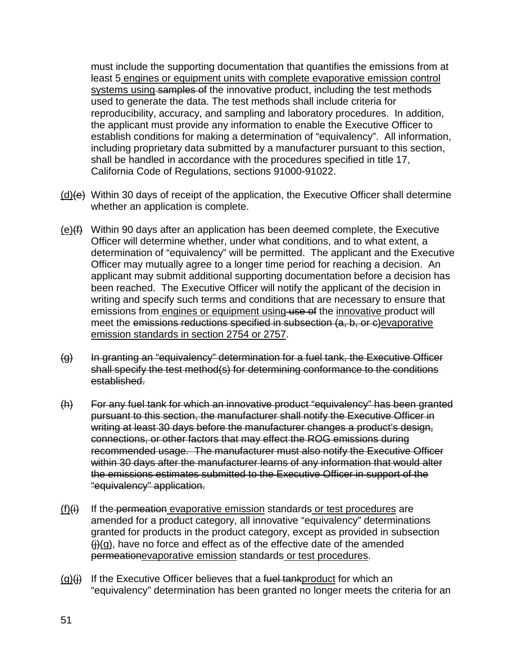must include the supporting documentation that quantifies the emissions from at least 5 engines or equipment units with complete evaporative emission control systems using samples of the innovative product, including the test methods used to generate the data. The test methods shall include criteria for reproducibility, accuracy, and sampling and laboratory procedures. In addition, the applicant must provide any information to enable the Executive Officer to establish conditions for making a determination of "equivalency". All information, including proprietary data submitted by a manufacturer pursuant to this section, shall be handled in accordance with the procedures specified in title 17, California Code of Regulations, sections 91000-91022.

- $(d)(e)$  Within 30 days of receipt of the application, the Executive Officer shall determine whether an application is complete.
- $(e)(f)$  Within 90 days after an application has been deemed complete, the Executive Officer will determine whether, under what conditions, and to what extent, a determination of "equivalency" will be permitted. The applicant and the Executive Officer may mutually agree to a longer time period for reaching a decision. An applicant may submit additional supporting documentation before a decision has been reached. The Executive Officer will notify the applicant of the decision in writing and specify such terms and conditions that are necessary to ensure that emissions from engines or equipment using use of the innovative product will meet the emissions reductions specified in subsection (a, b, or c)evaporative emission standards in section 2754 or 2757.
- (g) In granting an "equivalency" determination for a fuel tank, the Executive Officer shall specify the test method(s) for determining conformance to the conditions established.
- (h) For any fuel tank for which an innovative product "equivalency" has been granted pursuant to this section, the manufacturer shall notify the Executive Officer in writing at least 30 days before the manufacturer changes a product's design, connections, or other factors that may effect the ROG emissions during recommended usage. The manufacturer must also notify the Executive Officer within 30 days after the manufacturer learns of any information that would alter the emissions estimates submitted to the Executive Officer in support of the "equivalency" application.
- $(f)(i)$  If the permeation evaporative emission standards or test procedures are amended for a product category, all innovative "equivalency" determinations granted for products in the product category, except as provided in subsection  $\overline{H}(q)$ , have no force and effect as of the effective date of the amended permeationevaporative emission standards or test procedures.
- $(q)(i)$  If the Executive Officer believes that a fuel tankproduct for which an "equivalency" determination has been granted no longer meets the criteria for an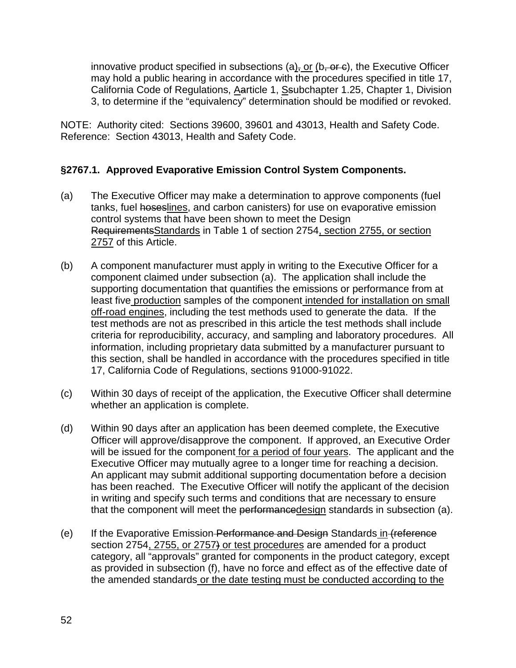innovative product specified in subsections  $(a)$ , or  $(b, or c)$ , the Executive Officer may hold a public hearing in accordance with the procedures specified in title 17, California Code of Regulations, Aarticle 1, Ssubchapter 1.25, Chapter 1, Division 3, to determine if the "equivalency" determination should be modified or revoked.

NOTE: Authority cited: Sections 39600, 39601 and 43013, Health and Safety Code. Reference: Section 43013, Health and Safety Code.

#### **§2767.1. Approved Evaporative Emission Control System Components.**

- (a) The Executive Officer may make a determination to approve components (fuel tanks, fuel hoseslines, and carbon canisters) for use on evaporative emission control systems that have been shown to meet the Design RequirementsStandards in Table 1 of section 2754, section 2755, or section 2757 of this Article.
- (b) A component manufacturer must apply in writing to the Executive Officer for a component claimed under subsection (a). The application shall include the supporting documentation that quantifies the emissions or performance from at least five production samples of the component intended for installation on small off-road engines, including the test methods used to generate the data. If the test methods are not as prescribed in this article the test methods shall include criteria for reproducibility, accuracy, and sampling and laboratory procedures. All information, including proprietary data submitted by a manufacturer pursuant to this section, shall be handled in accordance with the procedures specified in title 17, California Code of Regulations, sections 91000-91022.
- (c) Within 30 days of receipt of the application, the Executive Officer shall determine whether an application is complete.
- (d) Within 90 days after an application has been deemed complete, the Executive Officer will approve/disapprove the component. If approved, an Executive Order will be issued for the component for a period of four years. The applicant and the Executive Officer may mutually agree to a longer time for reaching a decision. An applicant may submit additional supporting documentation before a decision has been reached. The Executive Officer will notify the applicant of the decision in writing and specify such terms and conditions that are necessary to ensure that the component will meet the performancedesign standards in subsection (a).
- (e) If the Evaporative Emission Performance and Design Standards in (reference section 2754, 2755, or 2757) or test procedures are amended for a product category, all "approvals" granted for components in the product category, except as provided in subsection (f), have no force and effect as of the effective date of the amended standards or the date testing must be conducted according to the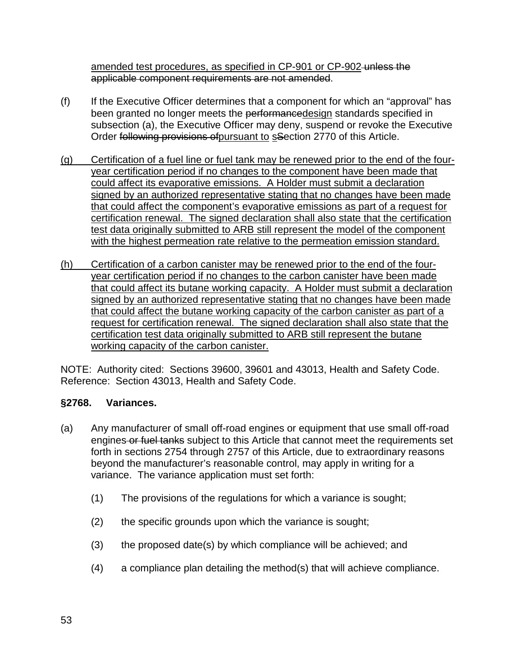amended test procedures, as specified in CP-901 or CP-902-unless the applicable component requirements are not amended.

- (f) If the Executive Officer determines that a component for which an "approval" has been granted no longer meets the performancedesign standards specified in subsection (a), the Executive Officer may deny, suspend or revoke the Executive Order following provisions of pursuant to sSection 2770 of this Article.
- (g) Certification of a fuel line or fuel tank may be renewed prior to the end of the fouryear certification period if no changes to the component have been made that could affect its evaporative emissions. A Holder must submit a declaration signed by an authorized representative stating that no changes have been made that could affect the component's evaporative emissions as part of a request for certification renewal. The signed declaration shall also state that the certification test data originally submitted to ARB still represent the model of the component with the highest permeation rate relative to the permeation emission standard.
- (h) Certification of a carbon canister may be renewed prior to the end of the fouryear certification period if no changes to the carbon canister have been made that could affect its butane working capacity. A Holder must submit a declaration signed by an authorized representative stating that no changes have been made that could affect the butane working capacity of the carbon canister as part of a request for certification renewal. The signed declaration shall also state that the certification test data originally submitted to ARB still represent the butane working capacity of the carbon canister.

NOTE: Authority cited: Sections 39600, 39601 and 43013, Health and Safety Code. Reference: Section 43013, Health and Safety Code.

# **§2768. Variances.**

- (a) Any manufacturer of small off-road engines or equipment that use small off-road engines or fuel tanks subject to this Article that cannot meet the requirements set forth in sections 2754 through 2757 of this Article, due to extraordinary reasons beyond the manufacturer's reasonable control, may apply in writing for a variance. The variance application must set forth:
	- (1) The provisions of the regulations for which a variance is sought;
	- (2) the specific grounds upon which the variance is sought;
	- (3) the proposed date(s) by which compliance will be achieved; and
	- (4) a compliance plan detailing the method(s) that will achieve compliance.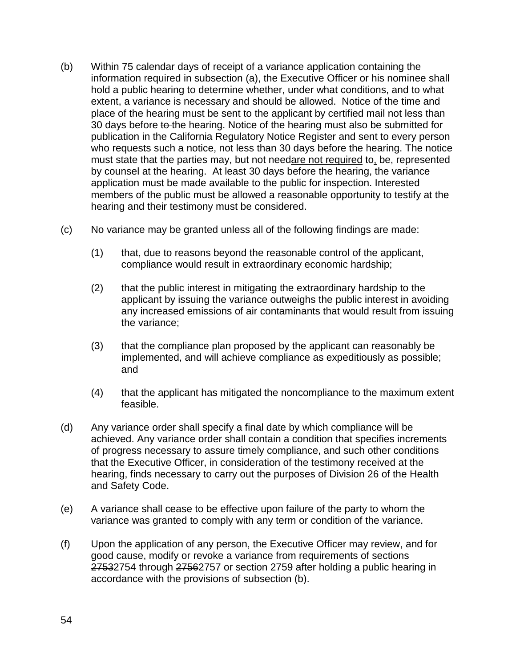- (b) Within 75 calendar days of receipt of a variance application containing the information required in subsection (a), the Executive Officer or his nominee shall hold a public hearing to determine whether, under what conditions, and to what extent, a variance is necessary and should be allowed. Notice of the time and place of the hearing must be sent to the applicant by certified mail not less than 30 days before to the hearing. Notice of the hearing must also be submitted for publication in the California Regulatory Notice Register and sent to every person who requests such a notice, not less than 30 days before the hearing. The notice must state that the parties may, but not needare not required to, be, represented by counsel at the hearing. At least 30 days before the hearing, the variance application must be made available to the public for inspection. Interested members of the public must be allowed a reasonable opportunity to testify at the hearing and their testimony must be considered.
- (c) No variance may be granted unless all of the following findings are made:
	- (1) that, due to reasons beyond the reasonable control of the applicant, compliance would result in extraordinary economic hardship;
	- (2) that the public interest in mitigating the extraordinary hardship to the applicant by issuing the variance outweighs the public interest in avoiding any increased emissions of air contaminants that would result from issuing the variance;
	- (3) that the compliance plan proposed by the applicant can reasonably be implemented, and will achieve compliance as expeditiously as possible; and
	- (4) that the applicant has mitigated the noncompliance to the maximum extent feasible.
- (d) Any variance order shall specify a final date by which compliance will be achieved. Any variance order shall contain a condition that specifies increments of progress necessary to assure timely compliance, and such other conditions that the Executive Officer, in consideration of the testimony received at the hearing, finds necessary to carry out the purposes of Division 26 of the Health and Safety Code.
- (e) A variance shall cease to be effective upon failure of the party to whom the variance was granted to comply with any term or condition of the variance.
- (f) Upon the application of any person, the Executive Officer may review, and for good cause, modify or revoke a variance from requirements of sections 27532754 through 27562757 or section 2759 after holding a public hearing in accordance with the provisions of subsection (b).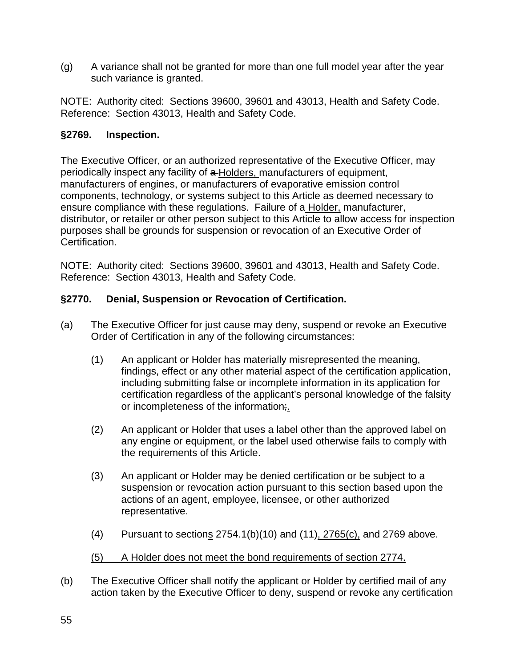(g) A variance shall not be granted for more than one full model year after the year such variance is granted.

NOTE: Authority cited: Sections 39600, 39601 and 43013, Health and Safety Code. Reference: Section 43013, Health and Safety Code.

#### **§2769. Inspection.**

The Executive Officer, or an authorized representative of the Executive Officer, may periodically inspect any facility of a Holders, manufacturers of equipment, manufacturers of engines, or manufacturers of evaporative emission control components, technology, or systems subject to this Article as deemed necessary to ensure compliance with these regulations. Failure of a Holder, manufacturer, distributor, or retailer or other person subject to this Article to allow access for inspection purposes shall be grounds for suspension or revocation of an Executive Order of Certification.

NOTE: Authority cited: Sections 39600, 39601 and 43013, Health and Safety Code. Reference: Section 43013, Health and Safety Code.

### **§2770. Denial, Suspension or Revocation of Certification.**

- (a) The Executive Officer for just cause may deny, suspend or revoke an Executive Order of Certification in any of the following circumstances:
	- (1) An applicant or Holder has materially misrepresented the meaning, findings, effect or any other material aspect of the certification application, including submitting false or incomplete information in its application for certification regardless of the applicant's personal knowledge of the falsity or incompleteness of the information;
	- (2) An applicant or Holder that uses a label other than the approved label on any engine or equipment, or the label used otherwise fails to comply with the requirements of this Article.
	- (3) An applicant or Holder may be denied certification or be subject to a suspension or revocation action pursuant to this section based upon the actions of an agent, employee, licensee, or other authorized representative.
	- (4) Pursuant to sections 2754.1(b)(10) and (11), 2765(c), and 2769 above.
	- (5) A Holder does not meet the bond requirements of section 2774.
- (b) The Executive Officer shall notify the applicant or Holder by certified mail of any action taken by the Executive Officer to deny, suspend or revoke any certification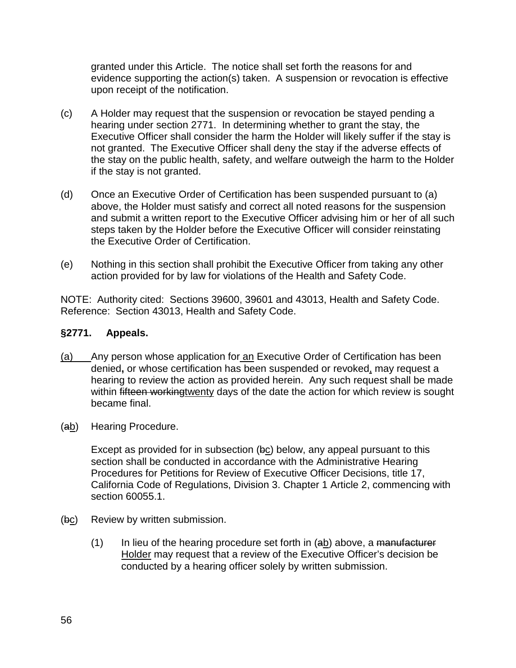granted under this Article. The notice shall set forth the reasons for and evidence supporting the action(s) taken. A suspension or revocation is effective upon receipt of the notification.

- (c) A Holder may request that the suspension or revocation be stayed pending a hearing under section 2771. In determining whether to grant the stay, the Executive Officer shall consider the harm the Holder will likely suffer if the stay is not granted. The Executive Officer shall deny the stay if the adverse effects of the stay on the public health, safety, and welfare outweigh the harm to the Holder if the stay is not granted.
- (d) Once an Executive Order of Certification has been suspended pursuant to (a) above, the Holder must satisfy and correct all noted reasons for the suspension and submit a written report to the Executive Officer advising him or her of all such steps taken by the Holder before the Executive Officer will consider reinstating the Executive Order of Certification.
- (e) Nothing in this section shall prohibit the Executive Officer from taking any other action provided for by law for violations of the Health and Safety Code.

NOTE: Authority cited: Sections 39600, 39601 and 43013, Health and Safety Code. Reference: Section 43013, Health and Safety Code.

### **§2771. Appeals.**

- (a) Any person whose application for an Executive Order of Certification has been denied**,** or whose certification has been suspended or revoked, may request a hearing to review the action as provided herein. Any such request shall be made within fifteen workingtwenty days of the date the action for which review is sought became final.
- (ab) Hearing Procedure.

Except as provided for in subsection (bc) below, any appeal pursuant to this section shall be conducted in accordance with the Administrative Hearing Procedures for Petitions for Review of Executive Officer Decisions, title 17, California Code of Regulations, Division 3. Chapter 1 Article 2, commencing with section 60055.1.

- (bc) Review by written submission.
	- $(1)$  In lieu of the hearing procedure set forth in (ab) above, a manufacturer Holder may request that a review of the Executive Officer's decision be conducted by a hearing officer solely by written submission.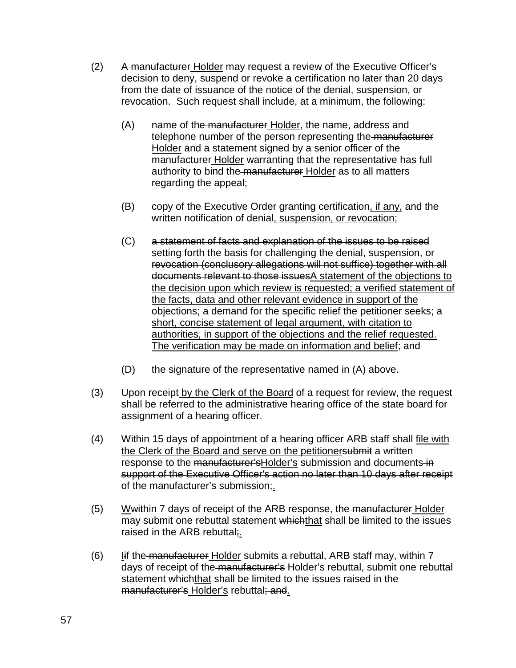- (2) A manufacturer Holder may request a review of the Executive Officer's decision to deny, suspend or revoke a certification no later than 20 days from the date of issuance of the notice of the denial, suspension, or revocation. Such request shall include, at a minimum, the following:
	- (A) name of the manufacturer Holder, the name, address and telephone number of the person representing the manufacturer Holder and a statement signed by a senior officer of the manufacturer Holder warranting that the representative has full authority to bind the manufacturer Holder as to all matters regarding the appeal;
	- (B) copy of the Executive Order granting certification, if any, and the written notification of denial, suspension, or revocation;
	- (C) a statement of facts and explanation of the issues to be raised setting forth the basis for challenging the denial, suspension, or revocation (conclusory allegations will not suffice) together with all documents relevant to those issuesA statement of the objections to the decision upon which review is requested; a verified statement of the facts, data and other relevant evidence in support of the objections; a demand for the specific relief the petitioner seeks; a short, concise statement of legal argument, with citation to authorities, in support of the objections and the relief requested. The verification may be made on information and belief; and
	- (D) the signature of the representative named in (A) above.
- (3) Upon receipt by the Clerk of the Board of a request for review, the request shall be referred to the administrative hearing office of the state board for assignment of a hearing officer.
- (4) Within 15 days of appointment of a hearing officer ARB staff shall file with the Clerk of the Board and serve on the petitionersubmit a written response to the manufacturer's Holder's submission and documents in support of the Executive Officer's action no later than 10 days after receipt of the manufacturer's submission;
- $(5)$  Wwithin 7 days of receipt of the ARB response, the manufacturer Holder may submit one rebuttal statement whichthat shall be limited to the issues raised in the ARB rebuttal;
- $(6)$  Iif the manufacturer Holder submits a rebuttal, ARB staff may, within 7 days of receipt of the manufacturer's Holder's rebuttal, submit one rebuttal statement whichthat shall be limited to the issues raised in the manufacturer's Holder's rebuttal; and.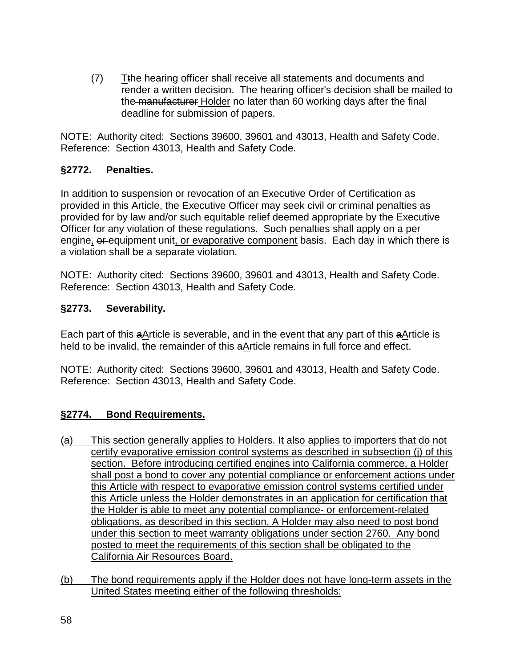(7) Tthe hearing officer shall receive all statements and documents and render a written decision. The hearing officer's decision shall be mailed to the manufacturer Holder no later than 60 working days after the final deadline for submission of papers.

NOTE: Authority cited: Sections 39600, 39601 and 43013, Health and Safety Code. Reference: Section 43013, Health and Safety Code.

### **§2772. Penalties.**

In addition to suspension or revocation of an Executive Order of Certification as provided in this Article, the Executive Officer may seek civil or criminal penalties as provided for by law and/or such equitable relief deemed appropriate by the Executive Officer for any violation of these regulations. Such penalties shall apply on a per engine, or equipment unit, or evaporative component basis. Each day in which there is a violation shall be a separate violation.

NOTE: Authority cited: Sections 39600, 39601 and 43013, Health and Safety Code. Reference: Section 43013, Health and Safety Code.

### **§2773. Severability.**

Each part of this aArticle is severable, and in the event that any part of this aArticle is held to be invalid, the remainder of this aArticle remains in full force and effect.

NOTE: Authority cited: Sections 39600, 39601 and 43013, Health and Safety Code. Reference: Section 43013, Health and Safety Code.

# **§2774. Bond Requirements.**

- (a) This section generally applies to Holders. It also applies to importers that do not certify evaporative emission control systems as described in subsection (j) of this section. Before introducing certified engines into California commerce, a Holder shall post a bond to cover any potential compliance or enforcement actions under this Article with respect to evaporative emission control systems certified under this Article unless the Holder demonstrates in an application for certification that the Holder is able to meet any potential compliance- or enforcement-related obligations, as described in this section. A Holder may also need to post bond under this section to meet warranty obligations under section 2760. Any bond posted to meet the requirements of this section shall be obligated to the California Air Resources Board.
- (b) The bond requirements apply if the Holder does not have long-term assets in the United States meeting either of the following thresholds: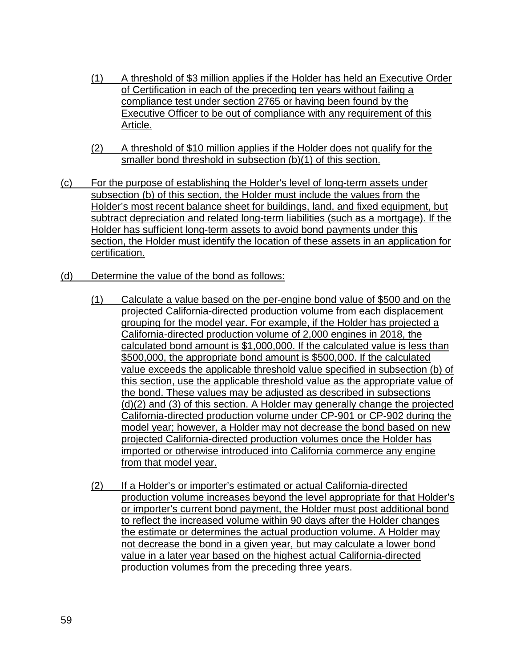- (1) A threshold of \$3 million applies if the Holder has held an Executive Order of Certification in each of the preceding ten years without failing a compliance test under section 2765 or having been found by the Executive Officer to be out of compliance with any requirement of this Article.
- (2) A threshold of \$10 million applies if the Holder does not qualify for the smaller bond threshold in subsection (b)(1) of this section.
- (c) For the purpose of establishing the Holder's level of long-term assets under subsection (b) of this section, the Holder must include the values from the Holder's most recent balance sheet for buildings, land, and fixed equipment, but subtract depreciation and related long-term liabilities (such as a mortgage). If the Holder has sufficient long-term assets to avoid bond payments under this section, the Holder must identify the location of these assets in an application for certification.
- (d) Determine the value of the bond as follows:
	- (1) Calculate a value based on the per-engine bond value of \$500 and on the projected California-directed production volume from each displacement grouping for the model year. For example, if the Holder has projected a California-directed production volume of 2,000 engines in 2018, the calculated bond amount is \$1,000,000. If the calculated value is less than \$500,000, the appropriate bond amount is \$500,000. If the calculated value exceeds the applicable threshold value specified in subsection (b) of this section, use the applicable threshold value as the appropriate value of the bond. These values may be adjusted as described in subsections (d)(2) and (3) of this section. A Holder may generally change the projected California-directed production volume under CP-901 or CP-902 during the model year; however, a Holder may not decrease the bond based on new projected California-directed production volumes once the Holder has imported or otherwise introduced into California commerce any engine from that model year.
	- (2) If a Holder's or importer's estimated or actual California-directed production volume increases beyond the level appropriate for that Holder's or importer's current bond payment, the Holder must post additional bond to reflect the increased volume within 90 days after the Holder changes the estimate or determines the actual production volume. A Holder may not decrease the bond in a given year, but may calculate a lower bond value in a later year based on the highest actual California-directed production volumes from the preceding three years.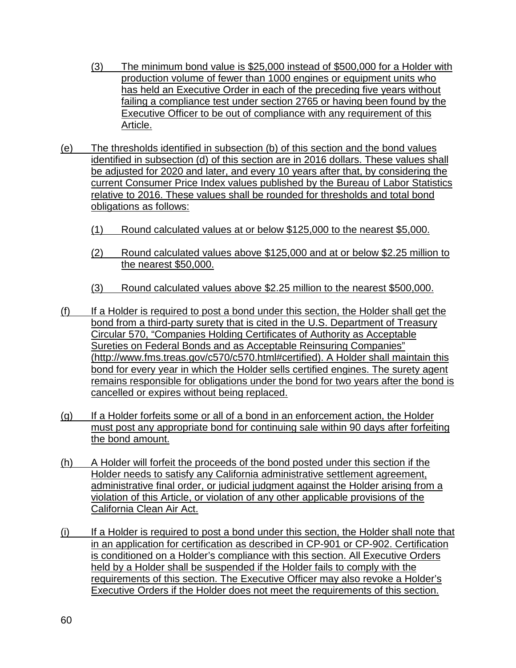- (3) The minimum bond value is \$25,000 instead of \$500,000 for a Holder with production volume of fewer than 1000 engines or equipment units who has held an Executive Order in each of the preceding five years without failing a compliance test under section 2765 or having been found by the Executive Officer to be out of compliance with any requirement of this Article.
- (e) The thresholds identified in subsection (b) of this section and the bond values identified in subsection (d) of this section are in 2016 dollars. These values shall be adjusted for 2020 and later, and every 10 years after that, by considering the current Consumer Price Index values published by the Bureau of Labor Statistics relative to 2016. These values shall be rounded for thresholds and total bond obligations as follows:
	- (1) Round calculated values at or below \$125,000 to the nearest \$5,000.
	- (2) Round calculated values above \$125,000 and at or below \$2.25 million to the nearest \$50,000.
	- (3) Round calculated values above \$2.25 million to the nearest \$500,000.
- (f) If a Holder is required to post a bond under this section, the Holder shall get the bond from a third-party surety that is cited in the U.S. Department of Treasury Circular 570, "Companies Holding Certificates of Authority as Acceptable Sureties on Federal Bonds and as Acceptable Reinsuring Companies" (http://www.fms.treas.gov/c570/c570.html#certified). A Holder shall maintain this bond for every year in which the Holder sells certified engines. The surety agent remains responsible for obligations under the bond for two years after the bond is cancelled or expires without being replaced.
- (g) If a Holder forfeits some or all of a bond in an enforcement action, the Holder must post any appropriate bond for continuing sale within 90 days after forfeiting the bond amount.
- (h) A Holder will forfeit the proceeds of the bond posted under this section if the Holder needs to satisfy any California administrative settlement agreement, administrative final order, or judicial judgment against the Holder arising from a violation of this Article, or violation of any other applicable provisions of the California Clean Air Act.
- (i) If a Holder is required to post a bond under this section, the Holder shall note that in an application for certification as described in CP-901 or CP-902. Certification is conditioned on a Holder's compliance with this section. All Executive Orders held by a Holder shall be suspended if the Holder fails to comply with the requirements of this section. The Executive Officer may also revoke a Holder's Executive Orders if the Holder does not meet the requirements of this section.